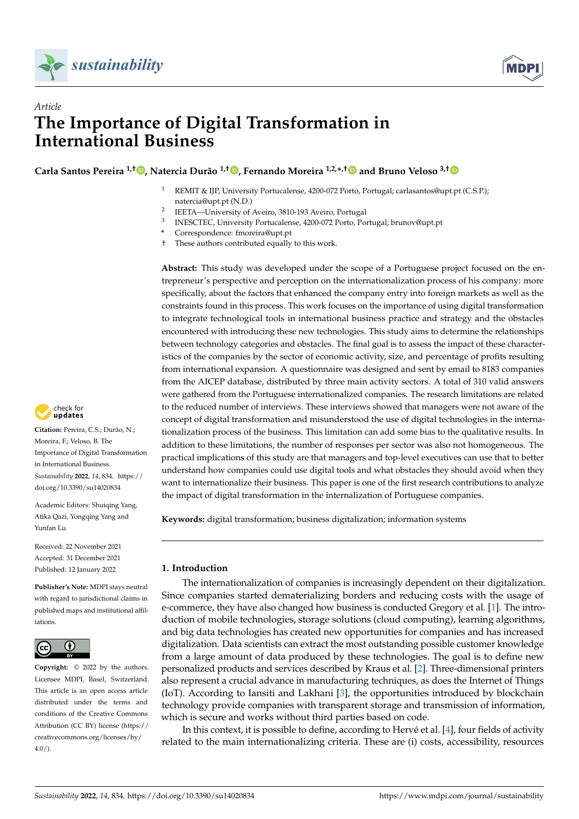



# *Article* **The Importance of Digital Transformation in International Business**

**Carla Santos Pereira 1,† [,](https://orcid.org/0000-0002-3545-6265) Natercia Durão 1,[†](https://orcid.org/0000-0002-0845-263X) , Fernando Moreira 1,2,\* ,[†](https://orcid.org/0000-0002-0816-1445) and Bruno Veloso 3,[†](https://orcid.org/0000-0001-7980-0972)**

- <sup>1</sup> REMIT & IJP, University Portucalense, 4200-072 Porto, Portugal; carlasantos@upt.pt (C.S.P.); natercia@upt.pt (N.D.)
- $\overline{2}$ IEETA—University of Aveiro, 3810-193 Aveiro, Portugal
- 3 INESCTEC, University Portucalense, 4200-072 Porto, Portugal; brunov@upt.pt
- **\*** Correspondence: fmoreira@upt.pt
- † These authors contributed equally to this work.

**Abstract:** This study was developed under the scope of a Portuguese project focused on the entrepreneur's perspective and perception on the internationalization process of his company: more specifically, about the factors that enhanced the company entry into foreign markets as well as the constraints found in this process. This work focuses on the importance of using digital transformation to integrate technological tools in international business practice and strategy and the obstacles encountered with introducing these new technologies. This study aims to determine the relationships between technology categories and obstacles. The final goal is to assess the impact of these characteristics of the companies by the sector of economic activity, size, and percentage of profits resulting from international expansion. A questionnaire was designed and sent by email to 8183 companies from the AICEP database, distributed by three main activity sectors. A total of 310 valid answers were gathered from the Portuguese internationalized companies. The research limitations are related to the reduced number of interviews. These interviews showed that managers were not aware of the concept of digital transformation and misunderstood the use of digital technologies in the internationalization process of the business. This limitation can add some bias to the qualitative results. In addition to these limitations, the number of responses per sector was also not homogeneous. The practical implications of this study are that managers and top-level executives can use that to better understand how companies could use digital tools and what obstacles they should avoid when they want to internationalize their business. This paper is one of the first research contributions to analyze the impact of digital transformation in the internalization of Portuguese companies.

**Keywords:** digital transformation; business digitalization; information systems

# **1. Introduction**

The internationalization of companies is increasingly dependent on their digitalization. Since companies started dematerializing borders and reducing costs with the usage of e-commerce, they have also changed how business is conducted Gregory et al. [\[1\]](#page-22-0). The introduction of mobile technologies, storage solutions (cloud computing), learning algorithms, and big data technologies has created new opportunities for companies and has increased digitalization. Data scientists can extract the most outstanding possible customer knowledge from a large amount of data produced by these technologies. The goal is to define new personalized products and services described by Kraus et al. [\[2\]](#page-22-1). Three-dimensional printers also represent a crucial advance in manufacturing techniques, as does the Internet of Things (IoT). According to Iansiti and Lakhani [\[3\]](#page-22-2), the opportunities introduced by blockchain technology provide companies with transparent storage and transmission of information, which is secure and works without third parties based on code.

In this context, it is possible to define, according to Hervé et al. [\[4\]](#page-22-3), four fields of activity related to the main internationalizing criteria. These are (i) costs, accessibility, resources



**Citation:** Pereira, C.S.; Durão, N.; Moreira, F.; Veloso, B. The Importance of Digital Transformation in International Business. *Sustainability* **2022**, *14*, 834. [https://](https://doi.org/10.3390/su14020834) [doi.org/10.3390/su14020834](https://doi.org/10.3390/su14020834)

Academic Editors: Shuiqing Yang, Atika Qazi, Yongqing Yang and Yunfan Lu

Received: 22 November 2021 Accepted: 31 December 2021 Published: 12 January 2022

**Publisher's Note:** MDPI stays neutral with regard to jurisdictional claims in published maps and institutional affiliations.



**Copyright:** © 2022 by the authors. Licensee MDPI, Basel, Switzerland. This article is an open access article distributed under the terms and conditions of the Creative Commons Attribution (CC BY) license [\(https://](https://creativecommons.org/licenses/by/4.0/) [creativecommons.org/licenses/by/](https://creativecommons.org/licenses/by/4.0/)  $4.0/$ ).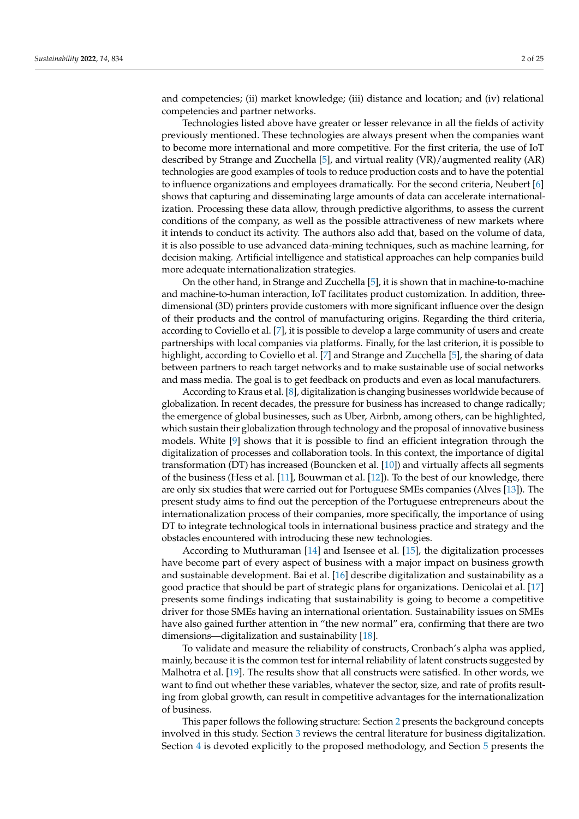and competencies; (ii) market knowledge; (iii) distance and location; and (iv) relational competencies and partner networks.

Technologies listed above have greater or lesser relevance in all the fields of activity previously mentioned. These technologies are always present when the companies want to become more international and more competitive. For the first criteria, the use of IoT described by Strange and Zucchella [\[5\]](#page-22-4), and virtual reality (VR)/augmented reality (AR) technologies are good examples of tools to reduce production costs and to have the potential to influence organizations and employees dramatically. For the second criteria, Neubert [\[6\]](#page-22-5) shows that capturing and disseminating large amounts of data can accelerate internationalization. Processing these data allow, through predictive algorithms, to assess the current conditions of the company, as well as the possible attractiveness of new markets where it intends to conduct its activity. The authors also add that, based on the volume of data, it is also possible to use advanced data-mining techniques, such as machine learning, for decision making. Artificial intelligence and statistical approaches can help companies build more adequate internationalization strategies.

On the other hand, in Strange and Zucchella [\[5\]](#page-22-4), it is shown that in machine-to-machine and machine-to-human interaction, IoT facilitates product customization. In addition, threedimensional (3D) printers provide customers with more significant influence over the design of their products and the control of manufacturing origins. Regarding the third criteria, according to Coviello et al. [\[7\]](#page-22-6), it is possible to develop a large community of users and create partnerships with local companies via platforms. Finally, for the last criterion, it is possible to highlight, according to Coviello et al. [\[7\]](#page-22-6) and Strange and Zucchella [\[5\]](#page-22-4), the sharing of data between partners to reach target networks and to make sustainable use of social networks and mass media. The goal is to get feedback on products and even as local manufacturers.

According to Kraus et al. [\[8\]](#page-22-7), digitalization is changing businesses worldwide because of globalization. In recent decades, the pressure for business has increased to change radically; the emergence of global businesses, such as Uber, Airbnb, among others, can be highlighted, which sustain their globalization through technology and the proposal of innovative business models. White [\[9\]](#page-22-8) shows that it is possible to find an efficient integration through the digitalization of processes and collaboration tools. In this context, the importance of digital transformation (DT) has increased (Bouncken et al. [\[10\]](#page-22-9)) and virtually affects all segments of the business (Hess et al. [\[11\]](#page-22-10), Bouwman et al. [\[12\]](#page-22-11)). To the best of our knowledge, there are only six studies that were carried out for Portuguese SMEs companies (Alves [\[13\]](#page-22-12)). The present study aims to find out the perception of the Portuguese entrepreneurs about the internationalization process of their companies, more specifically, the importance of using DT to integrate technological tools in international business practice and strategy and the obstacles encountered with introducing these new technologies.

According to Muthuraman [\[14\]](#page-22-13) and Isensee et al. [\[15\]](#page-22-14), the digitalization processes have become part of every aspect of business with a major impact on business growth and sustainable development. Bai et al. [\[16\]](#page-22-15) describe digitalization and sustainability as a good practice that should be part of strategic plans for organizations. Denicolai et al. [\[17\]](#page-22-16) presents some findings indicating that sustainability is going to become a competitive driver for those SMEs having an international orientation. Sustainability issues on SMEs have also gained further attention in "the new normal" era, confirming that there are two dimensions—digitalization and sustainability [\[18\]](#page-22-17).

To validate and measure the reliability of constructs, Cronbach's alpha was applied, mainly, because it is the common test for internal reliability of latent constructs suggested by Malhotra et al. [\[19\]](#page-22-18). The results show that all constructs were satisfied. In other words, we want to find out whether these variables, whatever the sector, size, and rate of profits resulting from global growth, can result in competitive advantages for the internationalization of business.

This paper follows the following structure: Section [2](#page-2-0) presents the background concepts involved in this study. Section [3](#page-5-0) reviews the central literature for business digitalization. Section [4](#page-7-0) is devoted explicitly to the proposed methodology, and Section [5](#page-8-0) presents the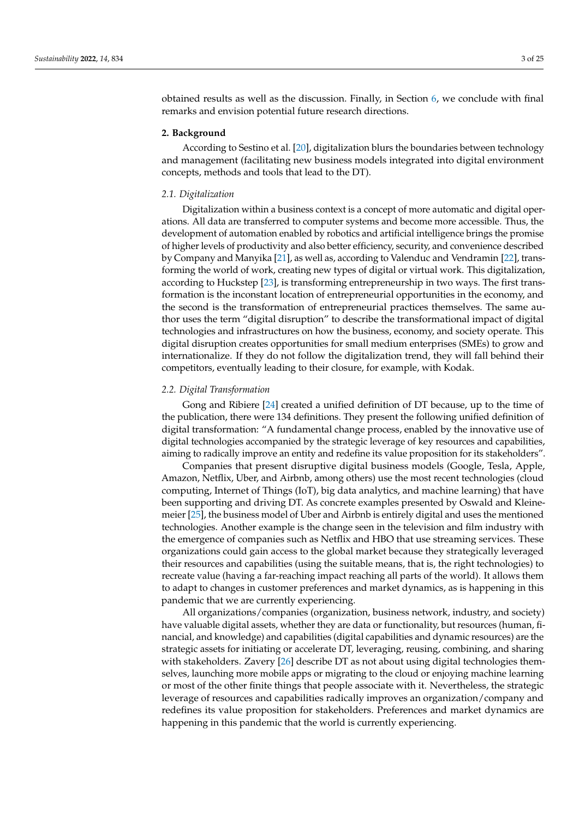obtained results as well as the discussion. Finally, in Section [6,](#page-19-0) we conclude with final remarks and envision potential future research directions.

#### <span id="page-2-0"></span>**2. Background**

According to Sestino et al. [\[20\]](#page-22-19), digitalization blurs the boundaries between technology and management (facilitating new business models integrated into digital environment concepts, methods and tools that lead to the DT).

#### *2.1. Digitalization*

Digitalization within a business context is a concept of more automatic and digital operations. All data are transferred to computer systems and become more accessible. Thus, the development of automation enabled by robotics and artificial intelligence brings the promise of higher levels of productivity and also better efficiency, security, and convenience described by Company and Manyika [\[21\]](#page-22-20), as well as, according to Valenduc and Vendramin [\[22\]](#page-22-21), transforming the world of work, creating new types of digital or virtual work. This digitalization, according to Huckstep [\[23\]](#page-22-22), is transforming entrepreneurship in two ways. The first transformation is the inconstant location of entrepreneurial opportunities in the economy, and the second is the transformation of entrepreneurial practices themselves. The same author uses the term "digital disruption" to describe the transformational impact of digital technologies and infrastructures on how the business, economy, and society operate. This digital disruption creates opportunities for small medium enterprises (SMEs) to grow and internationalize. If they do not follow the digitalization trend, they will fall behind their competitors, eventually leading to their closure, for example, with Kodak.

#### *2.2. Digital Transformation*

Gong and Ribiere [\[24\]](#page-22-23) created a unified definition of DT because, up to the time of the publication, there were 134 definitions. They present the following unified definition of digital transformation: "A fundamental change process, enabled by the innovative use of digital technologies accompanied by the strategic leverage of key resources and capabilities, aiming to radically improve an entity and redefine its value proposition for its stakeholders".

Companies that present disruptive digital business models (Google, Tesla, Apple, Amazon, Netflix, Uber, and Airbnb, among others) use the most recent technologies (cloud computing, Internet of Things (IoT), big data analytics, and machine learning) that have been supporting and driving DT. As concrete examples presented by Oswald and Kleinemeier [\[25\]](#page-23-0), the business model of Uber and Airbnb is entirely digital and uses the mentioned technologies. Another example is the change seen in the television and film industry with the emergence of companies such as Netflix and HBO that use streaming services. These organizations could gain access to the global market because they strategically leveraged their resources and capabilities (using the suitable means, that is, the right technologies) to recreate value (having a far-reaching impact reaching all parts of the world). It allows them to adapt to changes in customer preferences and market dynamics, as is happening in this pandemic that we are currently experiencing.

All organizations/companies (organization, business network, industry, and society) have valuable digital assets, whether they are data or functionality, but resources (human, financial, and knowledge) and capabilities (digital capabilities and dynamic resources) are the strategic assets for initiating or accelerate DT, leveraging, reusing, combining, and sharing with stakeholders. Zavery [\[26\]](#page-23-1) describe DT as not about using digital technologies themselves, launching more mobile apps or migrating to the cloud or enjoying machine learning or most of the other finite things that people associate with it. Nevertheless, the strategic leverage of resources and capabilities radically improves an organization/company and redefines its value proposition for stakeholders. Preferences and market dynamics are happening in this pandemic that the world is currently experiencing.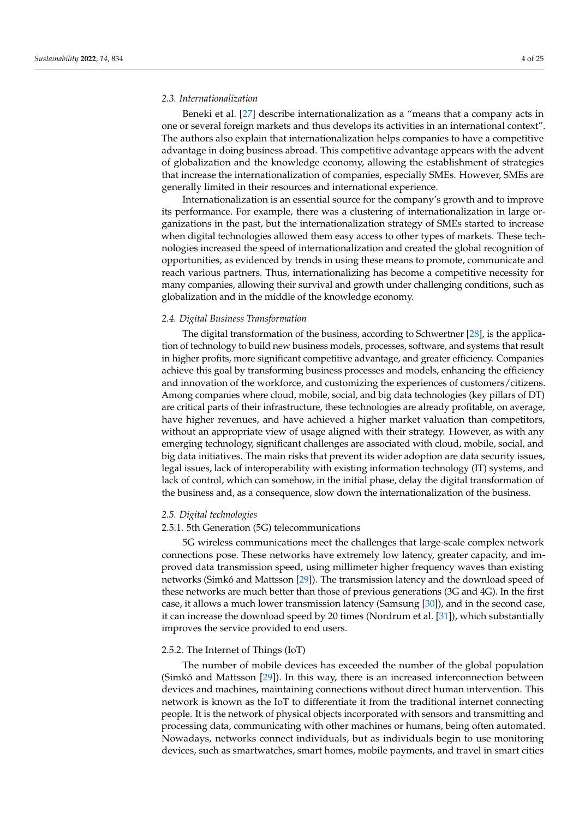#### *2.3. Internationalization*

Beneki et al. [\[27\]](#page-23-2) describe internationalization as a "means that a company acts in one or several foreign markets and thus develops its activities in an international context". The authors also explain that internationalization helps companies to have a competitive advantage in doing business abroad. This competitive advantage appears with the advent of globalization and the knowledge economy, allowing the establishment of strategies that increase the internationalization of companies, especially SMEs. However, SMEs are generally limited in their resources and international experience.

Internationalization is an essential source for the company's growth and to improve its performance. For example, there was a clustering of internationalization in large organizations in the past, but the internationalization strategy of SMEs started to increase when digital technologies allowed them easy access to other types of markets. These technologies increased the speed of internationalization and created the global recognition of opportunities, as evidenced by trends in using these means to promote, communicate and reach various partners. Thus, internationalizing has become a competitive necessity for many companies, allowing their survival and growth under challenging conditions, such as globalization and in the middle of the knowledge economy.

#### *2.4. Digital Business Transformation*

The digital transformation of the business, according to Schwertner [\[28\]](#page-23-3), is the application of technology to build new business models, processes, software, and systems that result in higher profits, more significant competitive advantage, and greater efficiency. Companies achieve this goal by transforming business processes and models, enhancing the efficiency and innovation of the workforce, and customizing the experiences of customers/citizens. Among companies where cloud, mobile, social, and big data technologies (key pillars of DT) are critical parts of their infrastructure, these technologies are already profitable, on average, have higher revenues, and have achieved a higher market valuation than competitors, without an appropriate view of usage aligned with their strategy. However, as with any emerging technology, significant challenges are associated with cloud, mobile, social, and big data initiatives. The main risks that prevent its wider adoption are data security issues, legal issues, lack of interoperability with existing information technology (IT) systems, and lack of control, which can somehow, in the initial phase, delay the digital transformation of the business and, as a consequence, slow down the internationalization of the business.

#### *2.5. Digital technologies*

#### 2.5.1. 5th Generation (5G) telecommunications

5G wireless communications meet the challenges that large-scale complex network connections pose. These networks have extremely low latency, greater capacity, and improved data transmission speed, using millimeter higher frequency waves than existing networks (Simkó and Mattsson [\[29\]](#page-23-4)). The transmission latency and the download speed of these networks are much better than those of previous generations (3G and 4G). In the first case, it allows a much lower transmission latency (Samsung [\[30\]](#page-23-5)), and in the second case, it can increase the download speed by 20 times (Nordrum et al. [\[31\]](#page-23-6)), which substantially improves the service provided to end users.

## 2.5.2. The Internet of Things (IoT)

The number of mobile devices has exceeded the number of the global population (Simkó and Mattsson [\[29\]](#page-23-4)). In this way, there is an increased interconnection between devices and machines, maintaining connections without direct human intervention. This network is known as the IoT to differentiate it from the traditional internet connecting people. It is the network of physical objects incorporated with sensors and transmitting and processing data, communicating with other machines or humans, being often automated. Nowadays, networks connect individuals, but as individuals begin to use monitoring devices, such as smartwatches, smart homes, mobile payments, and travel in smart cities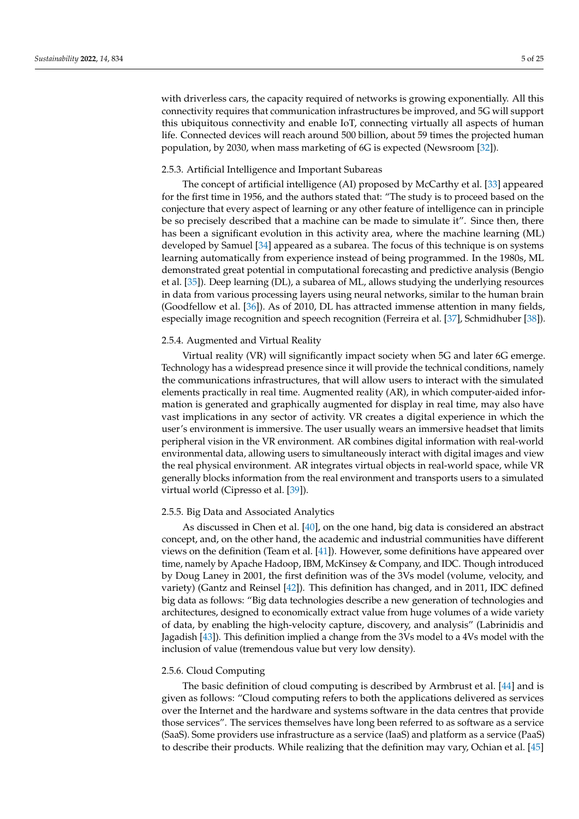with driverless cars, the capacity required of networks is growing exponentially. All this connectivity requires that communication infrastructures be improved, and 5G will support this ubiquitous connectivity and enable IoT, connecting virtually all aspects of human life. Connected devices will reach around 500 billion, about 59 times the projected human population, by 2030, when mass marketing of 6G is expected (Newsroom [\[32\]](#page-23-7)).

## 2.5.3. Artificial Intelligence and Important Subareas

The concept of artificial intelligence (AI) proposed by McCarthy et al. [\[33\]](#page-23-8) appeared for the first time in 1956, and the authors stated that: "The study is to proceed based on the conjecture that every aspect of learning or any other feature of intelligence can in principle be so precisely described that a machine can be made to simulate it". Since then, there has been a significant evolution in this activity area, where the machine learning (ML) developed by Samuel [\[34\]](#page-23-9) appeared as a subarea. The focus of this technique is on systems learning automatically from experience instead of being programmed. In the 1980s, ML demonstrated great potential in computational forecasting and predictive analysis (Bengio et al. [\[35\]](#page-23-10)). Deep learning (DL), a subarea of ML, allows studying the underlying resources in data from various processing layers using neural networks, similar to the human brain (Goodfellow et al. [\[36\]](#page-23-11)). As of 2010, DL has attracted immense attention in many fields, especially image recognition and speech recognition (Ferreira et al. [\[37\]](#page-23-12), Schmidhuber [\[38\]](#page-23-13)).

# 2.5.4. Augmented and Virtual Reality

Virtual reality (VR) will significantly impact society when 5G and later 6G emerge. Technology has a widespread presence since it will provide the technical conditions, namely the communications infrastructures, that will allow users to interact with the simulated elements practically in real time. Augmented reality (AR), in which computer-aided information is generated and graphically augmented for display in real time, may also have vast implications in any sector of activity. VR creates a digital experience in which the user's environment is immersive. The user usually wears an immersive headset that limits peripheral vision in the VR environment. AR combines digital information with real-world environmental data, allowing users to simultaneously interact with digital images and view the real physical environment. AR integrates virtual objects in real-world space, while VR generally blocks information from the real environment and transports users to a simulated virtual world (Cipresso et al. [\[39\]](#page-23-14)).

#### 2.5.5. Big Data and Associated Analytics

As discussed in Chen et al. [\[40\]](#page-23-15), on the one hand, big data is considered an abstract concept, and, on the other hand, the academic and industrial communities have different views on the definition (Team et al. [\[41\]](#page-23-16)). However, some definitions have appeared over time, namely by Apache Hadoop, IBM, McKinsey & Company, and IDC. Though introduced by Doug Laney in 2001, the first definition was of the 3Vs model (volume, velocity, and variety) (Gantz and Reinsel [\[42\]](#page-23-17)). This definition has changed, and in 2011, IDC defined big data as follows: "Big data technologies describe a new generation of technologies and architectures, designed to economically extract value from huge volumes of a wide variety of data, by enabling the high-velocity capture, discovery, and analysis" (Labrinidis and Jagadish [\[43\]](#page-23-18)). This definition implied a change from the 3Vs model to a 4Vs model with the inclusion of value (tremendous value but very low density).

#### 2.5.6. Cloud Computing

The basic definition of cloud computing is described by Armbrust et al. [\[44\]](#page-23-19) and is given as follows: "Cloud computing refers to both the applications delivered as services over the Internet and the hardware and systems software in the data centres that provide those services". The services themselves have long been referred to as software as a service (SaaS). Some providers use infrastructure as a service (IaaS) and platform as a service (PaaS) to describe their products. While realizing that the definition may vary, Ochian et al. [\[45\]](#page-23-20)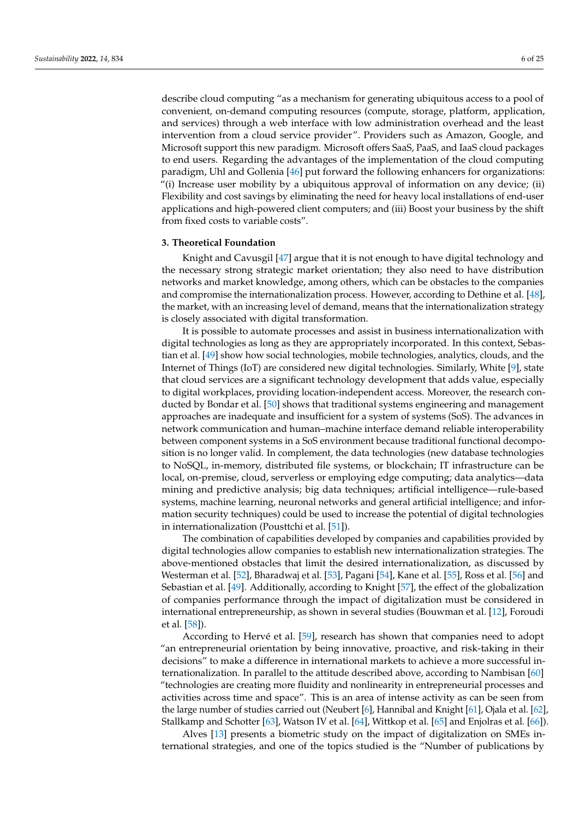describe cloud computing "as a mechanism for generating ubiquitous access to a pool of convenient, on-demand computing resources (compute, storage, platform, application, and services) through a web interface with low administration overhead and the least intervention from a cloud service provider". Providers such as Amazon, Google, and Microsoft support this new paradigm. Microsoft offers SaaS, PaaS, and IaaS cloud packages to end users. Regarding the advantages of the implementation of the cloud computing paradigm, Uhl and Gollenia [\[46\]](#page-23-21) put forward the following enhancers for organizations: "(i) Increase user mobility by a ubiquitous approval of information on any device; (ii) Flexibility and cost savings by eliminating the need for heavy local installations of end-user applications and high-powered client computers; and (iii) Boost your business by the shift from fixed costs to variable costs".

#### <span id="page-5-0"></span>**3. Theoretical Foundation**

Knight and Cavusgil [\[47\]](#page-23-22) argue that it is not enough to have digital technology and the necessary strong strategic market orientation; they also need to have distribution networks and market knowledge, among others, which can be obstacles to the companies and compromise the internationalization process. However, according to Dethine et al. [\[48\]](#page-23-23), the market, with an increasing level of demand, means that the internationalization strategy is closely associated with digital transformation.

It is possible to automate processes and assist in business internationalization with digital technologies as long as they are appropriately incorporated. In this context, Sebastian et al. [\[49\]](#page-23-24) show how social technologies, mobile technologies, analytics, clouds, and the Internet of Things (IoT) are considered new digital technologies. Similarly, White [\[9\]](#page-22-8), state that cloud services are a significant technology development that adds value, especially to digital workplaces, providing location-independent access. Moreover, the research conducted by Bondar et al. [\[50\]](#page-23-25) shows that traditional systems engineering and management approaches are inadequate and insufficient for a system of systems (SoS). The advances in network communication and human–machine interface demand reliable interoperability between component systems in a SoS environment because traditional functional decomposition is no longer valid. In complement, the data technologies (new database technologies to NoSQL, in-memory, distributed file systems, or blockchain; IT infrastructure can be local, on-premise, cloud, serverless or employing edge computing; data analytics—data mining and predictive analysis; big data techniques; artificial intelligence—rule-based systems, machine learning, neuronal networks and general artificial intelligence; and information security techniques) could be used to increase the potential of digital technologies in internationalization (Pousttchi et al. [\[51\]](#page-23-26)).

The combination of capabilities developed by companies and capabilities provided by digital technologies allow companies to establish new internationalization strategies. The above-mentioned obstacles that limit the desired internationalization, as discussed by Westerman et al. [\[52\]](#page-23-27), Bharadwaj et al. [\[53\]](#page-23-28), Pagani [\[54\]](#page-23-29), Kane et al. [\[55\]](#page-23-30), Ross et al. [\[56\]](#page-23-31) and Sebastian et al. [\[49\]](#page-23-24). Additionally, according to Knight [\[57\]](#page-24-0), the effect of the globalization of companies performance through the impact of digitalization must be considered in international entrepreneurship, as shown in several studies (Bouwman et al. [\[12\]](#page-22-11), Foroudi et al. [\[58\]](#page-24-1)).

According to Hervé et al. [\[59\]](#page-24-2), research has shown that companies need to adopt "an entrepreneurial orientation by being innovative, proactive, and risk-taking in their decisions" to make a difference in international markets to achieve a more successful internationalization. In parallel to the attitude described above, according to Nambisan [\[60\]](#page-24-3) "technologies are creating more fluidity and nonlinearity in entrepreneurial processes and activities across time and space". This is an area of intense activity as can be seen from the large number of studies carried out (Neubert [\[6\]](#page-22-5), Hannibal and Knight [\[61\]](#page-24-4), Ojala et al. [\[62\]](#page-24-5), Stallkamp and Schotter [\[63\]](#page-24-6), Watson IV et al. [\[64\]](#page-24-7), Wittkop et al. [\[65\]](#page-24-8) and Enjolras et al. [\[66\]](#page-24-9)).

Alves [\[13\]](#page-22-12) presents a biometric study on the impact of digitalization on SMEs international strategies, and one of the topics studied is the "Number of publications by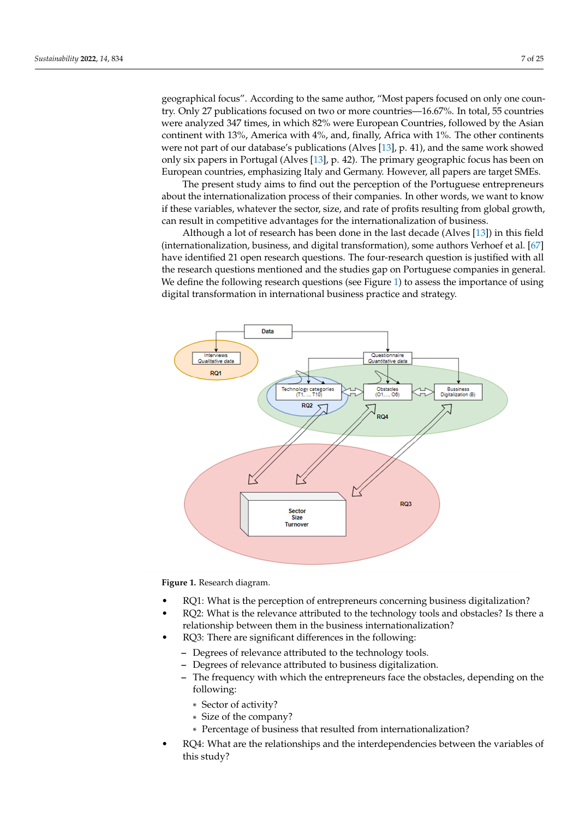geographical focus". According to the same author, "Most papers focused on only one country. Only 27 publications focused on two or more countries—16.67%. In total, 55 countries were analyzed 347 times, in which 82% were European Countries, followed by the Asian continent with 13%, America with 4%, and, finally, Africa with 1%. The other continents were not part of our database's publications (Alves [\[13\]](#page-22-12), p. 41), and the same work showed only six papers in Portugal (Alves [\[13\]](#page-22-12), p. 42). The primary geographic focus has been on European countries, emphasizing Italy and Germany. However, all papers are target SMEs.

The present study aims to find out the perception of the Portuguese entrepreneurs about the internationalization process of their companies. In other words, we want to know if these variables, whatever the sector, size, and rate of profits resulting from global growth, can result in competitive advantages for the internationalization of business.

Although a lot of research has been done in the last decade (Alves [\[13\]](#page-22-12)) in this field (internationalization, business, and digital transformation), some authors Verhoef et al. [\[67\]](#page-24-10) have identified 21 open research questions. The four-research question is justified with all the research questions mentioned and the studies gap on Portuguese companies in general. We define the following research questions (see Figure [1\)](#page-6-0) to assess the importance of using digital transformation in international business practice and strategy.

<span id="page-6-0"></span>

**Figure 1.** Research diagram.

- RQ1: What is the perception of entrepreneurs concerning business digitalization?
- RQ2: What is the relevance attributed to the technology tools and obstacles? Is there a relationship between them in the business internationalization?
- RQ3: There are significant differences in the following:
	- **–** Degrees of relevance attributed to the technology tools.
	- **–** Degrees of relevance attributed to business digitalization.
	- **–** The frequency with which the entrepreneurs face the obstacles, depending on the following:
		- \* Sector of activity?
		- \* Size of the company?
		- \* Percentage of business that resulted from internationalization?
- RQ4: What are the relationships and the interdependencies between the variables of this study?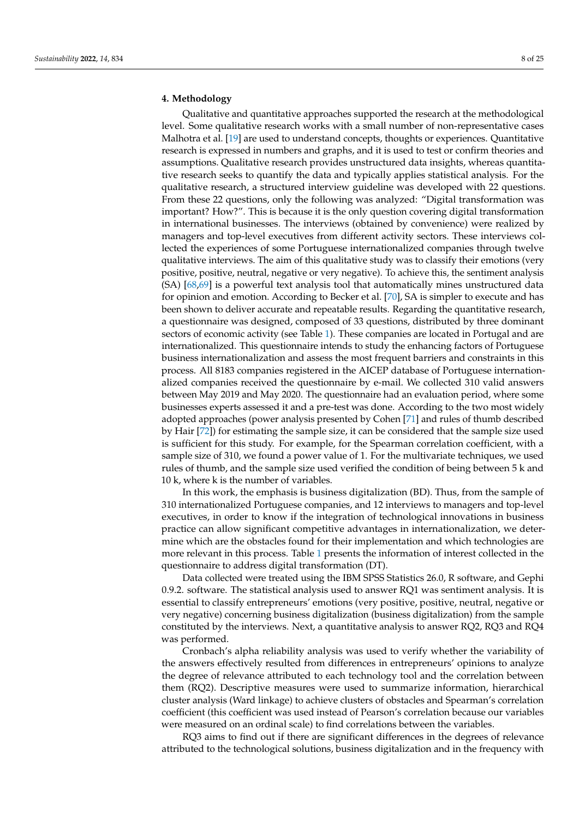## <span id="page-7-0"></span>**4. Methodology**

Qualitative and quantitative approaches supported the research at the methodological level. Some qualitative research works with a small number of non-representative cases Malhotra et al. [\[19\]](#page-22-18) are used to understand concepts, thoughts or experiences. Quantitative research is expressed in numbers and graphs, and it is used to test or confirm theories and assumptions. Qualitative research provides unstructured data insights, whereas quantitative research seeks to quantify the data and typically applies statistical analysis. For the qualitative research, a structured interview guideline was developed with 22 questions. From these 22 questions, only the following was analyzed: "Digital transformation was important? How?". This is because it is the only question covering digital transformation in international businesses. The interviews (obtained by convenience) were realized by managers and top-level executives from different activity sectors. These interviews collected the experiences of some Portuguese internationalized companies through twelve qualitative interviews. The aim of this qualitative study was to classify their emotions (very positive, positive, neutral, negative or very negative). To achieve this, the sentiment analysis (SA) [\[68](#page-24-11)[,69\]](#page-24-12) is a powerful text analysis tool that automatically mines unstructured data for opinion and emotion. According to Becker et al. [\[70\]](#page-24-13), SA is simpler to execute and has been shown to deliver accurate and repeatable results. Regarding the quantitative research, a questionnaire was designed, composed of 33 questions, distributed by three dominant sectors of economic activity (see Table [1\)](#page-8-1). These companies are located in Portugal and are internationalized. This questionnaire intends to study the enhancing factors of Portuguese business internationalization and assess the most frequent barriers and constraints in this process. All 8183 companies registered in the AICEP database of Portuguese internationalized companies received the questionnaire by e-mail. We collected 310 valid answers between May 2019 and May 2020. The questionnaire had an evaluation period, where some businesses experts assessed it and a pre-test was done. According to the two most widely adopted approaches (power analysis presented by Cohen [\[71\]](#page-24-14) and rules of thumb described by Hair [\[72\]](#page-24-15)) for estimating the sample size, it can be considered that the sample size used is sufficient for this study. For example, for the Spearman correlation coefficient, with a sample size of 310, we found a power value of 1. For the multivariate techniques, we used rules of thumb, and the sample size used verified the condition of being between 5 k and 10 k, where k is the number of variables.

In this work, the emphasis is business digitalization (BD). Thus, from the sample of 310 internationalized Portuguese companies, and 12 interviews to managers and top-level executives, in order to know if the integration of technological innovations in business practice can allow significant competitive advantages in internationalization, we determine which are the obstacles found for their implementation and which technologies are more relevant in this process. Table [1](#page-8-1) presents the information of interest collected in the questionnaire to address digital transformation (DT).

Data collected were treated using the IBM SPSS Statistics 26.0, R software, and Gephi 0.9.2. software. The statistical analysis used to answer RQ1 was sentiment analysis. It is essential to classify entrepreneurs' emotions (very positive, positive, neutral, negative or very negative) concerning business digitalization (business digitalization) from the sample constituted by the interviews. Next, a quantitative analysis to answer RQ2, RQ3 and RQ4 was performed.

Cronbach's alpha reliability analysis was used to verify whether the variability of the answers effectively resulted from differences in entrepreneurs' opinions to analyze the degree of relevance attributed to each technology tool and the correlation between them (RQ2). Descriptive measures were used to summarize information, hierarchical cluster analysis (Ward linkage) to achieve clusters of obstacles and Spearman's correlation coefficient (this coefficient was used instead of Pearson's correlation because our variables were measured on an ordinal scale) to find correlations between the variables.

RQ3 aims to find out if there are significant differences in the degrees of relevance attributed to the technological solutions, business digitalization and in the frequency with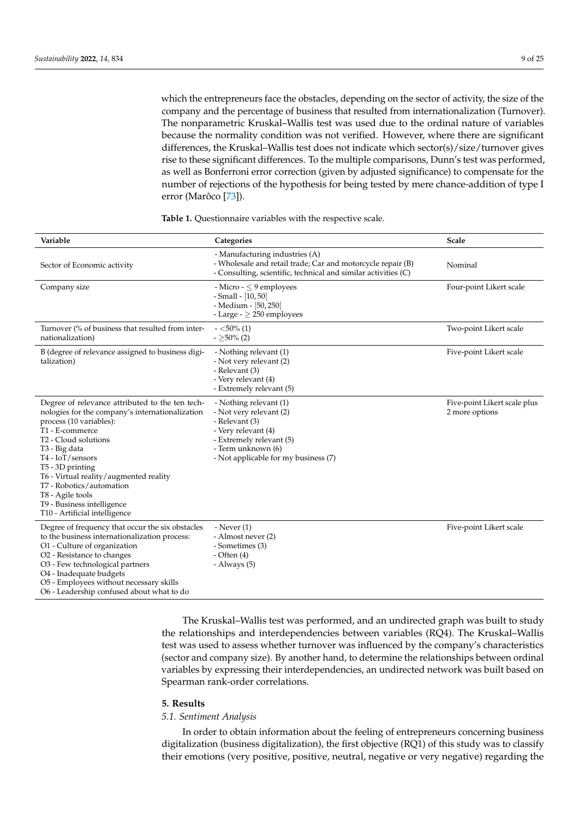which the entrepreneurs face the obstacles, depending on the sector of activity, the size of the company and the percentage of business that resulted from internationalization (Turnover). The nonparametric Kruskal–Wallis test was used due to the ordinal nature of variables because the normality condition was not verified. However, where there are significant differences, the Kruskal–Wallis test does not indicate which sector(s)/size/turnover gives rise to these significant differences. To the multiple comparisons, Dunn's test was performed, as well as Bonferroni error correction (given by adjusted significance) to compensate for the number of rejections of the hypothesis for being tested by mere chance-addition of type I error (Marôco [\[73\]](#page-24-16)).

| Variable                                                                                                                                                                                                                                                                                                                                                                                                           | Categories                                                                                                                                                                           | Scale                                          |
|--------------------------------------------------------------------------------------------------------------------------------------------------------------------------------------------------------------------------------------------------------------------------------------------------------------------------------------------------------------------------------------------------------------------|--------------------------------------------------------------------------------------------------------------------------------------------------------------------------------------|------------------------------------------------|
| Sector of Economic activity                                                                                                                                                                                                                                                                                                                                                                                        | - Manufacturing industries (A)<br>- Wholesale and retail trade; Car and motorcycle repair (B)<br>- Consulting, scientific, technical and similar activities (C)                      | Nominal                                        |
| Company size                                                                                                                                                                                                                                                                                                                                                                                                       | - Micro - $\leq$ 9 employees<br>$-$ Small $-$ [10, 50]<br>- Medium - [50, 250]<br>- Large - $> 250$ employees                                                                        | Four-point Likert scale                        |
| Turnover (% of business that resulted from inter-<br>nationalization)                                                                                                                                                                                                                                                                                                                                              | $-$ <50% (1)<br>$-$ >50% (2)                                                                                                                                                         | Two-point Likert scale                         |
| B (degree of relevance assigned to business digi-<br>talization)                                                                                                                                                                                                                                                                                                                                                   | - Nothing relevant (1)<br>- Not very relevant (2)<br>- Relevant (3)<br>- Very relevant (4)<br>- Extremely relevant (5)                                                               | Five-point Likert scale                        |
| Degree of relevance attributed to the ten tech-<br>nologies for the company's internationalization<br>process (10 variables):<br>T1 - E-commerce<br>T <sub>2</sub> - Cloud solutions<br>T <sub>3</sub> - Big data<br>T4 - IoT/sensors<br>T5 - 3D printing<br>T6 - Virtual reality/augmented reality<br>T7 - Robotics/automation<br>T8 - Agile tools<br>T9 - Business intelligence<br>T10 - Artificial intelligence | - Nothing relevant (1)<br>- Not very relevant (2)<br>- Relevant (3)<br>- Very relevant (4)<br>- Extremely relevant (5)<br>- Term unknown (6)<br>- Not applicable for my business (7) | Five-point Likert scale plus<br>2 more options |
| Degree of frequency that occur the six obstacles<br>to the business internationalization process:<br>O1 - Culture of organization<br>O <sub>2</sub> - Resistance to changes<br>O3 - Few technological partners<br>O4 - Inadequate budgets<br>O5 - Employees without necessary skills<br>O6 - Leadership confused about what to do                                                                                  | - Never $(1)$<br>- Almost never (2)<br>- Sometimes (3)<br>- Often $(4)$<br>- Always (5)                                                                                              | Five-point Likert scale                        |

<span id="page-8-1"></span>**Table 1.** Questionnaire variables with the respective scale.

The Kruskal–Wallis test was performed, and an undirected graph was built to study the relationships and interdependencies between variables (RQ4). The Kruskal–Wallis test was used to assess whether turnover was influenced by the company's characteristics (sector and company size). By another hand, to determine the relationships between ordinal variables by expressing their interdependencies, an undirected network was built based on Spearman rank-order correlations.

#### <span id="page-8-0"></span>**5. Results**

# *5.1. Sentiment Analysis*

In order to obtain information about the feeling of entrepreneurs concerning business digitalization (business digitalization), the first objective (RQ1) of this study was to classify their emotions (very positive, positive, neutral, negative or very negative) regarding the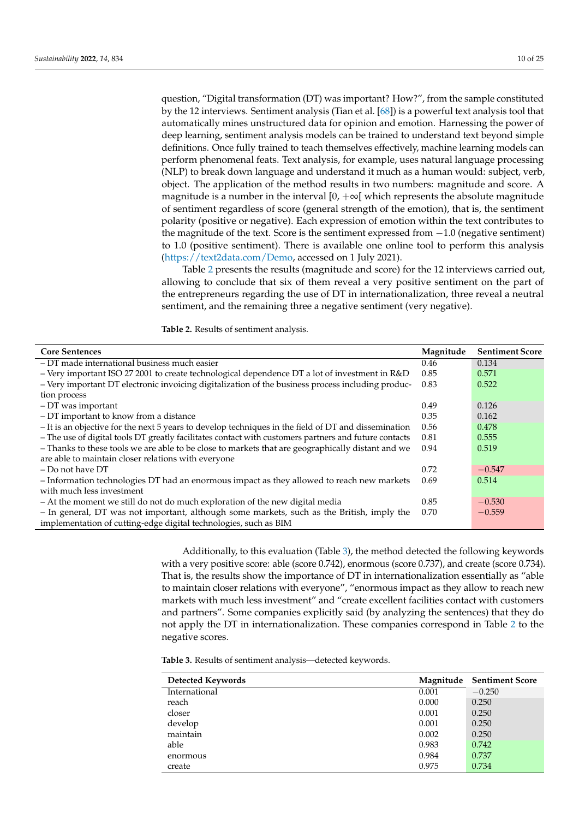question, "Digital transformation (DT) was important? How?", from the sample constituted by the 12 interviews. Sentiment analysis (Tian et al. [\[68\]](#page-24-11)) is a powerful text analysis tool that automatically mines unstructured data for opinion and emotion. Harnessing the power of deep learning, sentiment analysis models can be trained to understand text beyond simple definitions. Once fully trained to teach themselves effectively, machine learning models can perform phenomenal feats. Text analysis, for example, uses natural language processing (NLP) to break down language and understand it much as a human would: subject, verb, object. The application of the method results in two numbers: magnitude and score. A magnitude is a number in the interval  $[0, +\infty]$  which represents the absolute magnitude of sentiment regardless of score (general strength of the emotion), that is, the sentiment polarity (positive or negative). Each expression of emotion within the text contributes to the magnitude of the text. Score is the sentiment expressed from −1.0 (negative sentiment) to 1.0 (positive sentiment). There is available one online tool to perform this analysis [\(https://text2data.com/Demo,](https://text2data.com/Demo) accessed on 1 July 2021).

Table [2](#page-9-0) presents the results (magnitude and score) for the 12 interviews carried out, allowing to conclude that six of them reveal a very positive sentiment on the part of the entrepreneurs regarding the use of DT in internationalization, three reveal a neutral sentiment, and the remaining three a negative sentiment (very negative).

<span id="page-9-0"></span>**Table 2.** Results of sentiment analysis.

| <b>Core Sentences</b>                                                                                 | Magnitude | <b>Sentiment Score</b> |
|-------------------------------------------------------------------------------------------------------|-----------|------------------------|
| - DT made international business much easier                                                          | 0.46      | 0.134                  |
| - Very important ISO 27 2001 to create technological dependence DT a lot of investment in $R&D$       | 0.85      | 0.571                  |
| - Very important DT electronic invoicing digitalization of the business process including produc-     | 0.83      | 0.522                  |
| tion process                                                                                          |           |                        |
| - DT was important                                                                                    | 0.49      | 0.126                  |
| - DT important to know from a distance                                                                | 0.35      | 0.162                  |
| - It is an objective for the next 5 years to develop techniques in the field of DT and dissemination  | 0.56      | 0.478                  |
| - The use of digital tools DT greatly facilitates contact with customers partners and future contacts | 0.81      | 0.555                  |
| - Thanks to these tools we are able to be close to markets that are geographically distant and we     | 0.94      | 0.519                  |
| are able to maintain closer relations with everyone                                                   |           |                        |
| - Do not have DT                                                                                      | 0.72      | $-0.547$               |
| - Information technologies DT had an enormous impact as they allowed to reach new markets             | 0.69      | 0.514                  |
| with much less investment                                                                             |           |                        |
| - At the moment we still do not do much exploration of the new digital media                          | 0.85      | $-0.530$               |
| - In general, DT was not important, although some markets, such as the British, imply the             | 0.70      | $-0.559$               |
| implementation of cutting-edge digital technologies, such as BIM                                      |           |                        |

Additionally, to this evaluation (Table [3\)](#page-9-1), the method detected the following keywords with a very positive score: able (score 0.742), enormous (score 0.737), and create (score 0.734). That is, the results show the importance of DT in internationalization essentially as "able to maintain closer relations with everyone", "enormous impact as they allow to reach new markets with much less investment" and "create excellent facilities contact with customers and partners". Some companies explicitly said (by analyzing the sentences) that they do not apply the DT in internationalization. These companies correspond in Table [2](#page-9-0) to the negative scores.

<span id="page-9-1"></span>**Table 3.** Results of sentiment analysis—detected keywords.

| <b>Detected Keywords</b> | Magnitude | <b>Sentiment Score</b> |
|--------------------------|-----------|------------------------|
| International            | 0.001     | $-0.250$               |
| reach                    | 0.000     | 0.250                  |
| closer                   | 0.001     | 0.250                  |
| develop                  | 0.001     | 0.250                  |
| maintain                 | 0.002     | 0.250                  |
| able                     | 0.983     | 0.742                  |
| enormous                 | 0.984     | 0.737                  |
| create                   | 0.975     | 0.734                  |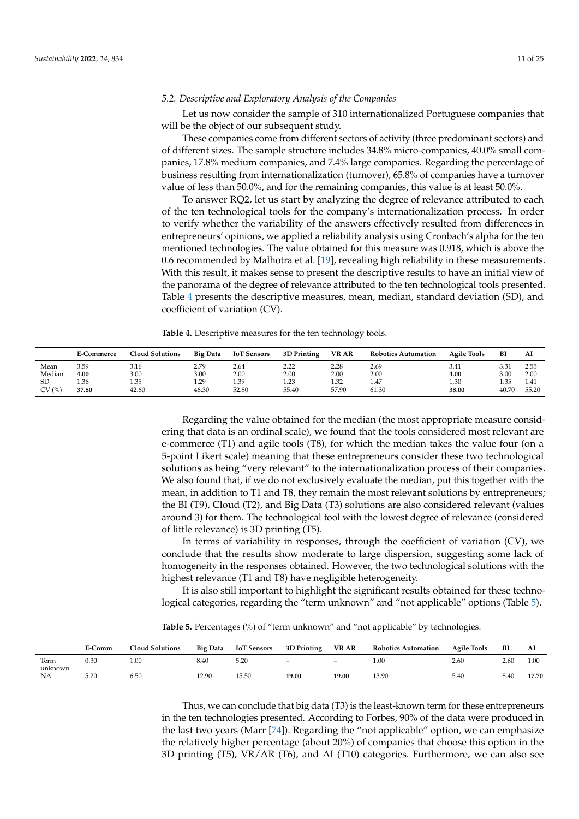## <span id="page-10-2"></span>*5.2. Descriptive and Exploratory Analysis of the Companies*

Let us now consider the sample of 310 internationalized Portuguese companies that will be the object of our subsequent study.

These companies come from different sectors of activity (three predominant sectors) and of different sizes. The sample structure includes 34.8% micro-companies, 40.0% small companies, 17.8% medium companies, and 7.4% large companies. Regarding the percentage of business resulting from internationalization (turnover), 65.8% of companies have a turnover value of less than 50.0%, and for the remaining companies, this value is at least 50.0%.

To answer RQ2, let us start by analyzing the degree of relevance attributed to each of the ten technological tools for the company's internationalization process. In order to verify whether the variability of the answers effectively resulted from differences in entrepreneurs' opinions, we applied a reliability analysis using Cronbach's alpha for the ten mentioned technologies. The value obtained for this measure was 0.918, which is above the 0.6 recommended by Malhotra et al. [\[19\]](#page-22-18), revealing high reliability in these measurements. With this result, it makes sense to present the descriptive results to have an initial view of the panorama of the degree of relevance attributed to the ten technological tools presented. Table [4](#page-10-0) presents the descriptive measures, mean, median, standard deviation (SD), and coefficient of variation (CV).

<span id="page-10-0"></span>**Table 4.** Descriptive measures for the ten technology tools.

|           | <b>E-Commerce</b> | <b>Cloud Solutions</b> | <b>Big Data</b> | <b>IoT</b> Sensors | 3D Printing | <b>VR AR</b> | <b>Robotics Automation</b> | <b>Agile Tools</b> | BI    | Al    |
|-----------|-------------------|------------------------|-----------------|--------------------|-------------|--------------|----------------------------|--------------------|-------|-------|
| Mean      | 3.59              | 3.16                   | 2.79            | 2.64               | 2.22        | 2.28         | 2.69                       | 3.41               | 3.31  | 2.55  |
| Median    | 4.00              | 3.00                   | 3.00            | 2.00               | 2.00        | 2.00         | 2.00                       | 4.00               | 3.00  | 2.00  |
| <b>SD</b> | 1.36              | 1.35                   | 1.29            | 1.39               | 1.23        | 1.32         | 1.47                       | 1.30               | 1.35  | 1.41  |
| CV(%)     | 37.80             | 42.60                  | 46.30           | 52.80              | 55.40       | 57.90        | 61.30                      | 38.00              | 40.70 | 55.20 |

Regarding the value obtained for the median (the most appropriate measure considering that data is an ordinal scale), we found that the tools considered most relevant are e-commerce (T1) and agile tools (T8), for which the median takes the value four (on a 5-point Likert scale) meaning that these entrepreneurs consider these two technological solutions as being "very relevant" to the internationalization process of their companies. We also found that, if we do not exclusively evaluate the median, put this together with the mean, in addition to T1 and T8, they remain the most relevant solutions by entrepreneurs; the BI (T9), Cloud (T2), and Big Data (T3) solutions are also considered relevant (values around 3) for them. The technological tool with the lowest degree of relevance (considered of little relevance) is 3D printing (T5).

In terms of variability in responses, through the coefficient of variation (CV), we conclude that the results show moderate to large dispersion, suggesting some lack of homogeneity in the responses obtained. However, the two technological solutions with the highest relevance (T1 and T8) have negligible heterogeneity.

It is also still important to highlight the significant results obtained for these technological categories, regarding the "term unknown" and "not applicable" options (Table [5\)](#page-10-1).

<span id="page-10-1"></span>**Table 5.** Percentages (%) of "term unknown" and "not applicable" by technologies.

|                 | E-Comm | <b>Cloud Solutions</b> | <b>Big Data</b> | <b>IoT</b> Sensors | 3D Printing              | <b>VR AR</b>             | <b>Robotics Automation</b> | <b>Agile Tools</b> | BI   | Al    |
|-----------------|--------|------------------------|-----------------|--------------------|--------------------------|--------------------------|----------------------------|--------------------|------|-------|
| Term<br>unknown | 0.30   | 1.00                   | 8.40            | 5.20               | $\overline{\phantom{0}}$ | $\overline{\phantom{0}}$ | 1.00                       | 2.60               | 2.60 | 1.00  |
| NA              | 5.20   | 6.50                   | 12.90           | 15.50              | 19.00                    | 19.00                    | 13.90                      | 5.40               | 8.40 | 17.70 |

Thus, we can conclude that big data (T3) is the least-known term for these entrepreneurs in the ten technologies presented. According to Forbes, 90% of the data were produced in the last two years (Marr [\[74\]](#page-24-17)). Regarding the "not applicable" option, we can emphasize the relatively higher percentage (about 20%) of companies that choose this option in the 3D printing (T5), VR/AR (T6), and AI (T10) categories. Furthermore, we can also see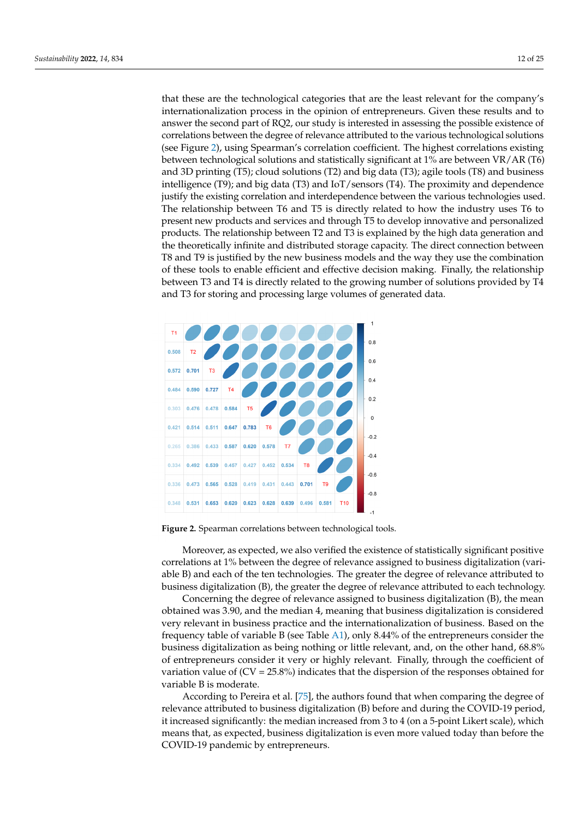that these are the technological categories that are the least relevant for the company's internationalization process in the opinion of entrepreneurs. Given these results and to answer the second part of RQ2, our study is interested in assessing the possible existence of correlations between the degree of relevance attributed to the various technological solutions (see Figure [2\)](#page-11-0), using Spearman's correlation coefficient. The highest correlations existing between technological solutions and statistically significant at 1% are between VR/AR (T6) and 3D printing (T5); cloud solutions (T2) and big data (T3); agile tools (T8) and business intelligence (T9); and big data (T3) and IoT/sensors (T4). The proximity and dependence justify the existing correlation and interdependence between the various technologies used. The relationship between T6 and T5 is directly related to how the industry uses T6 to present new products and services and through T5 to develop innovative and personalized products. The relationship between T2 and T3 is explained by the high data generation and the theoretically infinite and distributed storage capacity. The direct connection between T8 and T9 is justified by the new business models and the way they use the combination of these tools to enable efficient and effective decision making. Finally, the relationship between T3 and T4 is directly related to the growing number of solutions provided by T4 and T3 for storing and processing large volumes of generated data.

<span id="page-11-0"></span>

**Figure 2.** Spearman correlations between technological tools.

Moreover, as expected, we also verified the existence of statistically significant positive correlations at 1% between the degree of relevance assigned to business digitalization (variable B) and each of the ten technologies. The greater the degree of relevance attributed to business digitalization (B), the greater the degree of relevance attributed to each technology.

Concerning the degree of relevance assigned to business digitalization (B), the mean obtained was 3.90, and the median 4, meaning that business digitalization is considered very relevant in business practice and the internationalization of business. Based on the frequency table of variable B (see Table [A1\)](#page-21-0), only 8.44% of the entrepreneurs consider the business digitalization as being nothing or little relevant, and, on the other hand, 68.8% of entrepreneurs consider it very or highly relevant. Finally, through the coefficient of variation value of  $(CV = 25.8%)$  indicates that the dispersion of the responses obtained for variable B is moderate.

According to Pereira et al. [\[75\]](#page-24-18), the authors found that when comparing the degree of relevance attributed to business digitalization (B) before and during the COVID-19 period, it increased significantly: the median increased from 3 to 4 (on a 5-point Likert scale), which means that, as expected, business digitalization is even more valued today than before the COVID-19 pandemic by entrepreneurs.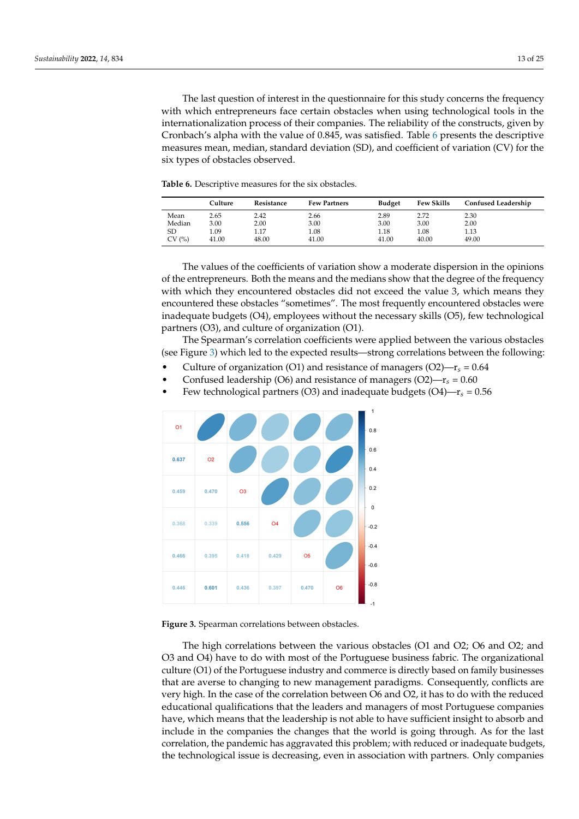The last question of interest in the questionnaire for this study concerns the frequency with which entrepreneurs face certain obstacles when using technological tools in the internationalization process of their companies. The reliability of the constructs, given by Cronbach's alpha with the value of 0.845, was satisfied. Table [6](#page-12-0) presents the descriptive measures mean, median, standard deviation (SD), and coefficient of variation (CV) for the six types of obstacles observed.

<span id="page-12-0"></span>**Table 6.** Descriptive measures for the six obstacles.

|        | Culture | Resistance | <b>Few Partners</b> | <b>Budget</b> | <b>Few Skills</b> | <b>Confused Leadership</b> |
|--------|---------|------------|---------------------|---------------|-------------------|----------------------------|
| Mean   | 2.65    | 2.42       | 2.66                | 2.89          | 2.72              | 2.30                       |
| Median | 3.00    | 2.00       | 3.00                | 3.00          | 3.00              | 2.00                       |
| SD     | 1.09    | 1.17       | 1.08                | 1.18          | 1.08              | 1.13                       |
| CV(%)  | 41.00   | 48.00      | 41.00               | 41.00         | 40.00             | 49.00                      |

The values of the coefficients of variation show a moderate dispersion in the opinions of the entrepreneurs. Both the means and the medians show that the degree of the frequency with which they encountered obstacles did not exceed the value 3, which means they encountered these obstacles "sometimes". The most frequently encountered obstacles were inadequate budgets (O4), employees without the necessary skills (O5), few technological partners (O3), and culture of organization (O1).

The Spearman's correlation coefficients were applied between the various obstacles (see Figure [3\)](#page-12-1) which led to the expected results—strong correlations between the following:

- Culture of organization (O1) and resistance of managers  $(O2) r_s = 0.64$
- Confused leadership (O6) and resistance of managers (O2)— $r_s = 0.60$
- Few technological partners (O3) and inadequate budgets (O4)—r*s* = 0.56

<span id="page-12-1"></span>

**Figure 3.** Spearman correlations between obstacles.

The high correlations between the various obstacles (O1 and O2; O6 and O2; and O3 and O4) have to do with most of the Portuguese business fabric. The organizational culture (O1) of the Portuguese industry and commerce is directly based on family businesses that are averse to changing to new management paradigms. Consequently, conflicts are very high. In the case of the correlation between O6 and O2, it has to do with the reduced educational qualifications that the leaders and managers of most Portuguese companies have, which means that the leadership is not able to have sufficient insight to absorb and include in the companies the changes that the world is going through. As for the last correlation, the pandemic has aggravated this problem; with reduced or inadequate budgets, the technological issue is decreasing, even in association with partners. Only companies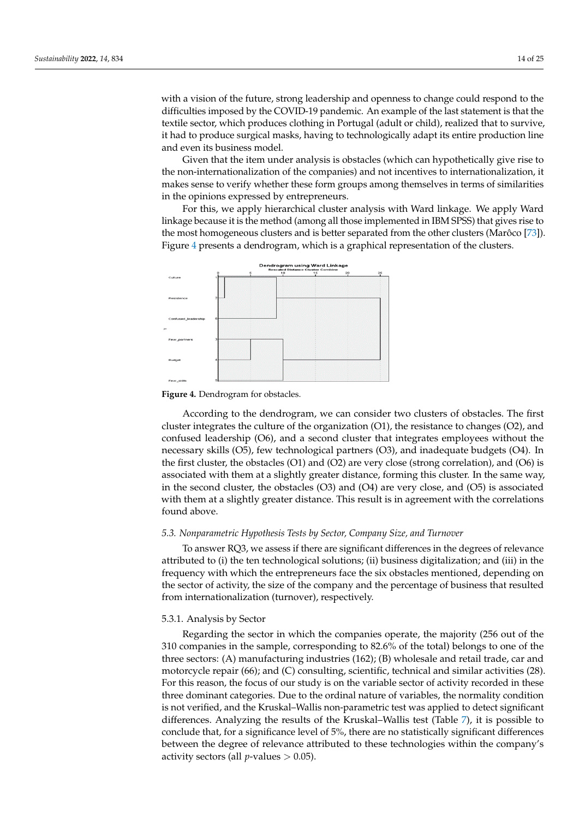with a vision of the future, strong leadership and openness to change could respond to the difficulties imposed by the COVID-19 pandemic. An example of the last statement is that the textile sector, which produces clothing in Portugal (adult or child), realized that to survive, it had to produce surgical masks, having to technologically adapt its entire production line and even its business model.

Given that the item under analysis is obstacles (which can hypothetically give rise to the non-internationalization of the companies) and not incentives to internationalization, it makes sense to verify whether these form groups among themselves in terms of similarities in the opinions expressed by entrepreneurs.

For this, we apply hierarchical cluster analysis with Ward linkage. We apply Ward linkage because it is the method (among all those implemented in IBM SPSS) that gives rise to the most homogeneous clusters and is better separated from the other clusters (Marôco [\[73\]](#page-24-16)). Figure [4](#page-13-0) presents a dendrogram, which is a graphical representation of the clusters.

<span id="page-13-0"></span>

**Figure 4.** Dendrogram for obstacles.

According to the dendrogram, we can consider two clusters of obstacles. The first cluster integrates the culture of the organization (O1), the resistance to changes (O2), and confused leadership (O6), and a second cluster that integrates employees without the necessary skills (O5), few technological partners (O3), and inadequate budgets (O4). In the first cluster, the obstacles (O1) and (O2) are very close (strong correlation), and (O6) is associated with them at a slightly greater distance, forming this cluster. In the same way, in the second cluster, the obstacles (O3) and (O4) are very close, and (O5) is associated with them at a slightly greater distance. This result is in agreement with the correlations found above.

#### *5.3. Nonparametric Hypothesis Tests by Sector, Company Size, and Turnover*

To answer RQ3, we assess if there are significant differences in the degrees of relevance attributed to (i) the ten technological solutions; (ii) business digitalization; and (iii) in the frequency with which the entrepreneurs face the six obstacles mentioned, depending on the sector of activity, the size of the company and the percentage of business that resulted from internationalization (turnover), respectively.

#### <span id="page-13-1"></span>5.3.1. Analysis by Sector

Regarding the sector in which the companies operate, the majority (256 out of the 310 companies in the sample, corresponding to 82.6% of the total) belongs to one of the three sectors: (A) manufacturing industries (162); (B) wholesale and retail trade, car and motorcycle repair (66); and (C) consulting, scientific, technical and similar activities (28). For this reason, the focus of our study is on the variable sector of activity recorded in these three dominant categories. Due to the ordinal nature of variables, the normality condition is not verified, and the Kruskal–Wallis non-parametric test was applied to detect significant differences. Analyzing the results of the Kruskal–Wallis test (Table [7\)](#page-14-0), it is possible to conclude that, for a significance level of 5%, there are no statistically significant differences between the degree of relevance attributed to these technologies within the company's activity sectors (all  $p$ -values  $> 0.05$ ).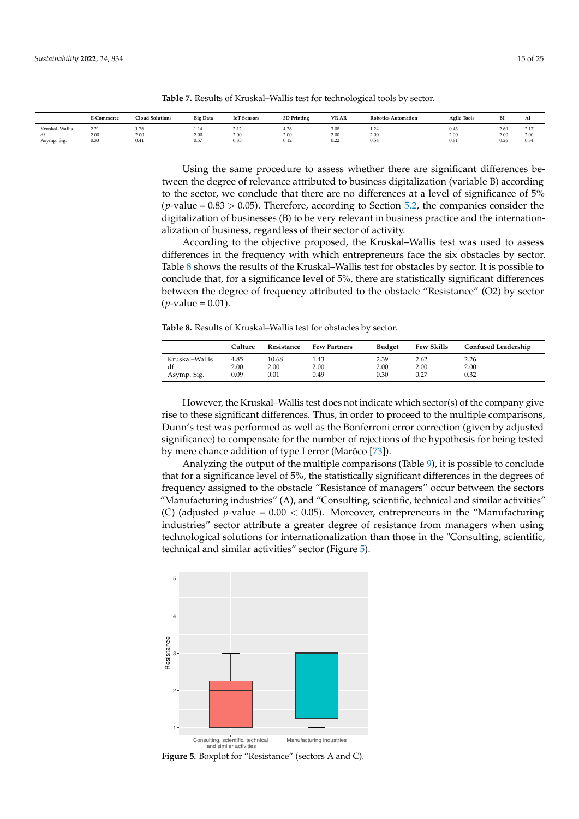|                                     | E-Commerce           | <b>Cloud Solutions</b> | <b>Big Data</b>      | <b>IoT</b> Sensors   | 3D Printing          | VR AR                        | <b>Robotics Automation</b> | <b>Agile Tools</b>   | BI                   | Al                                     |
|-------------------------------------|----------------------|------------------------|----------------------|----------------------|----------------------|------------------------------|----------------------------|----------------------|----------------------|----------------------------------------|
| Kruskal-Wallis<br>df<br>Asymp. Sig. | 2.21<br>2.00<br>0.33 | 1.76<br>2.00<br>0.41   | 1.14<br>2.00<br>0.57 | 2.12<br>2.00<br>0.35 | 4.26<br>2.00<br>0.12 | 3.08<br>2.00<br>0.22<br>____ | 1.24<br>2.00<br>0.54       | 0.43<br>2.00<br>0.81 | 2.69<br>2.00<br>0.26 | $\sim$ $\sim$<br>$\sim$<br>2.00<br>0.3 |

<span id="page-14-0"></span>**Table 7.** Results of Kruskal–Wallis test for technological tools by sector.

Using the same procedure to assess whether there are significant differences between the degree of relevance attributed to business digitalization (variable B) according to the sector, we conclude that there are no differences at a level of significance of 5%  $(p$ -value =  $0.83 > 0.05$ ). Therefore, according to Section [5.2,](#page-10-2) the companies consider the digitalization of businesses (B) to be very relevant in business practice and the internationalization of business, regardless of their sector of activity.

According to the objective proposed, the Kruskal–Wallis test was used to assess differences in the frequency with which entrepreneurs face the six obstacles by sector. Table [8](#page-14-1) shows the results of the Kruskal–Wallis test for obstacles by sector. It is possible to conclude that, for a significance level of 5%, there are statistically significant differences between the degree of frequency attributed to the obstacle "Resistance" (O2) by sector  $(p$ -value = 0.01).

<span id="page-14-1"></span>**Table 8.** Results of Kruskal–Wallis test for obstacles by sector.

|                      | Culture      | Resistance    | <b>Few Partners</b> | <b>Budget</b> | <b>Few Skills</b> | <b>Confused Leadership</b> |
|----------------------|--------------|---------------|---------------------|---------------|-------------------|----------------------------|
| Kruskal-Wallis<br>df | 4.85<br>2.00 | 10.68<br>2.00 | 1.43<br>2.00        | 2.39<br>2.00  | 2.62<br>2.00      | 2.26<br>2.00               |
| Asymp. Sig.          | 0.09         | $_{0.01}$     | 0.49                | 0.30          | 0.27              | 0.32                       |

However, the Kruskal–Wallis test does not indicate which sector(s) of the company give rise to these significant differences. Thus, in order to proceed to the multiple comparisons, Dunn's test was performed as well as the Bonferroni error correction (given by adjusted significance) to compensate for the number of rejections of the hypothesis for being tested by mere chance addition of type I error (Marôco [\[73\]](#page-24-16)).

Analyzing the output of the multiple comparisons (Table [9\)](#page-15-0), it is possible to conclude that for a significance level of 5%, the statistically significant differences in the degrees of frequency assigned to the obstacle "Resistance of managers" occur between the sectors "Manufacturing industries" (A), and "Consulting, scientific, technical and similar activities" (C) (adjusted *p*-value =  $0.00 < 0.05$ ). Moreover, entrepreneurs in the "Manufacturing industries" sector attribute a greater degree of resistance from managers when using technological solutions for internationalization than those in the "Consulting, scientific, technical and similar activities" sector (Figure [5\)](#page-14-2).

<span id="page-14-2"></span>

**Figure 5.** Boxplot for "Resistance" (sectors A and C).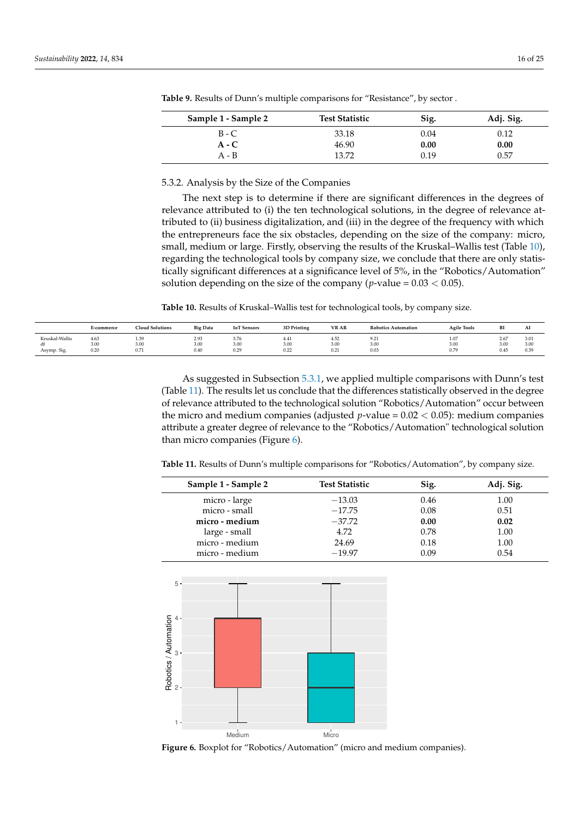| Sample 1 - Sample 2 | <b>Test Statistic</b> | Sig. | Adj. Sig. |
|---------------------|-----------------------|------|-----------|
| $B - C$             | 33.18                 | 0.04 | 0.12      |
| $A - C$             | 46.90                 | 0.00 | 0.00      |
| A - B               | 13.72                 | 0.19 | 0.57      |

<span id="page-15-0"></span>**Table 9.** Results of Dunn's multiple comparisons for "Resistance", by sector .

5.3.2. Analysis by the Size of the Companies

The next step is to determine if there are significant differences in the degrees of relevance attributed to (i) the ten technological solutions, in the degree of relevance attributed to (ii) business digitalization, and (iii) in the degree of the frequency with which the entrepreneurs face the six obstacles, depending on the size of the company: micro, small, medium or large. Firstly, observing the results of the Kruskal–Wallis test (Table [10\)](#page-15-1), regarding the technological tools by company size, we conclude that there are only statistically significant differences at a significance level of 5%, in the "Robotics/Automation" solution depending on the size of the company ( $p$ -value =  $0.03 < 0.05$ ).

<span id="page-15-1"></span>**Table 10.** Results of Kruskal–Wallis test for technological tools, by company size.

|                | E-commerce   | <b>Cloud Solutions</b> | <b>Big Data</b> | <b>IoT</b> Sensors  | 3D Printing  | <b>VR AR</b><br>. | <b>Robotics Automation</b> | <b>Agile Tools</b> | DI.          | Al<br>------- |
|----------------|--------------|------------------------|-----------------|---------------------|--------------|-------------------|----------------------------|--------------------|--------------|---------------|
| Kruskal-Wallis | 4.63<br>3.00 | $\sim$<br>1.35<br>3.00 | 2.93<br>3.00    | - -<br>3.76<br>3.00 | 4.41<br>3.00 | 4.52<br>3.00      | 7.41<br>$\sim$             | 1.07<br>3.00       | 2.07<br>3.00 | 3.01<br>3.00  |
| Asymp. Sig.    | 0.20         | $\sim$ $ \sim$<br>0.71 | 0.40            | 220<br>U.Z.         | 0.22         | 0.05<br>0.41      | 3.UU<br>0.03               | 0.79               | U.45         | 0.39          |

As suggested in Subsection [5.3.1,](#page-13-1) we applied multiple comparisons with Dunn's test (Table [11\)](#page-15-2). The results let us conclude that the differences statistically observed in the degree of relevance attributed to the technological solution "Robotics/Automation" occur between the micro and medium companies (adjusted  $p$ -value =  $0.02 < 0.05$ ): medium companies attribute a greater degree of relevance to the "Robotics/Automation" technological solution than micro companies (Figure [6\)](#page-15-3).

<span id="page-15-2"></span>**Table 11.** Results of Dunn's multiple comparisons for "Robotics/Automation", by company size.

| Sample 1 - Sample 2 | <b>Test Statistic</b> | Sig. | Adj. Sig. |
|---------------------|-----------------------|------|-----------|
| micro - large       | $-13.03$              | 0.46 | 1.00      |
| micro - small       | $-17.75$              | 0.08 | 0.51      |
| micro - medium      | $-37.72$              | 0.00 | 0.02      |
| large - small       | 4.72                  | 0.78 | 1.00      |
| micro - medium      | 24.69                 | 0.18 | 1.00      |
| micro - medium      | $-19.97$              | 0.09 | 0.54      |

<span id="page-15-3"></span>

**Figure 6.** Boxplot for "Robotics/Automation" (micro and medium companies).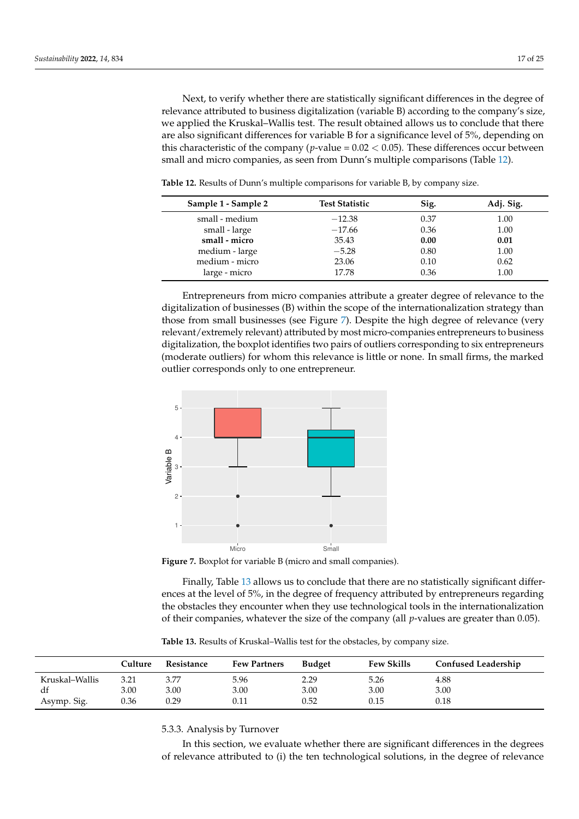Next, to verify whether there are statistically significant differences in the degree of relevance attributed to business digitalization (variable B) according to the company's size, we applied the Kruskal–Wallis test. The result obtained allows us to conclude that there are also significant differences for variable B for a significance level of 5%, depending on this characteristic of the company ( $p$ -value =  $0.02 < 0.05$ ). These differences occur between small and micro companies, as seen from Dunn's multiple comparisons (Table [12\)](#page-16-0).

| Sample 1 - Sample 2 | <b>Test Statistic</b> | Sig. | Adj. Sig. |
|---------------------|-----------------------|------|-----------|
| small - medium      | $-12.38$              | 0.37 | 1.00      |
| small - large       | $-17.66$              | 0.36 | 1.00      |
| small - micro       | 35.43                 | 0.00 | 0.01      |
| medium - large      | $-5.28$               | 0.80 | 1.00      |
| medium - micro      | 23.06                 | 0.10 | 0.62      |
| large - micro       | 17.78                 | 0.36 | 1.00      |
|                     |                       |      |           |

<span id="page-16-0"></span>**Table 12.** Results of Dunn's multiple comparisons for variable B, by company size.

Entrepreneurs from micro companies attribute a greater degree of relevance to the digitalization of businesses (B) within the scope of the internationalization strategy than those from small businesses (see Figure [7\)](#page-16-1). Despite the high degree of relevance (very relevant/extremely relevant) attributed by most micro-companies entrepreneurs to business digitalization, the boxplot identifies two pairs of outliers corresponding to six entrepreneurs (moderate outliers) for whom this relevance is little or none. In small firms, the marked outlier corresponds only to one entrepreneur.

<span id="page-16-1"></span>

**Figure 7.** Boxplot for variable B (micro and small companies).

Finally, Table [13](#page-16-2) allows us to conclude that there are no statistically significant differences at the level of 5%, in the degree of frequency attributed by entrepreneurs regarding the obstacles they encounter when they use technological tools in the internationalization of their companies, whatever the size of the company (all *p*-values are greater than 0.05).

<span id="page-16-2"></span>**Table 13.** Results of Kruskal–Wallis test for the obstacles, by company size.

|                | Culture | Resistance | <b>Few Partners</b> | <b>Budget</b> | <b>Few Skills</b> | <b>Confused Leadership</b> |
|----------------|---------|------------|---------------------|---------------|-------------------|----------------------------|
| Kruskal–Wallis | 3.21    | 3.77       | 5.96                | 2.29          | 5.26              | 4.88                       |
| df             | 3.00    | 3.00       | 3.00                | 3.00          | 3.00              | 3.00                       |
| Asymp. Sig.    | 0.36    | 0.29       | $0.11\,$            | 0.52          | 0.15              | 0.18                       |

5.3.3. Analysis by Turnover

In this section, we evaluate whether there are significant differences in the degrees of relevance attributed to (i) the ten technological solutions, in the degree of relevance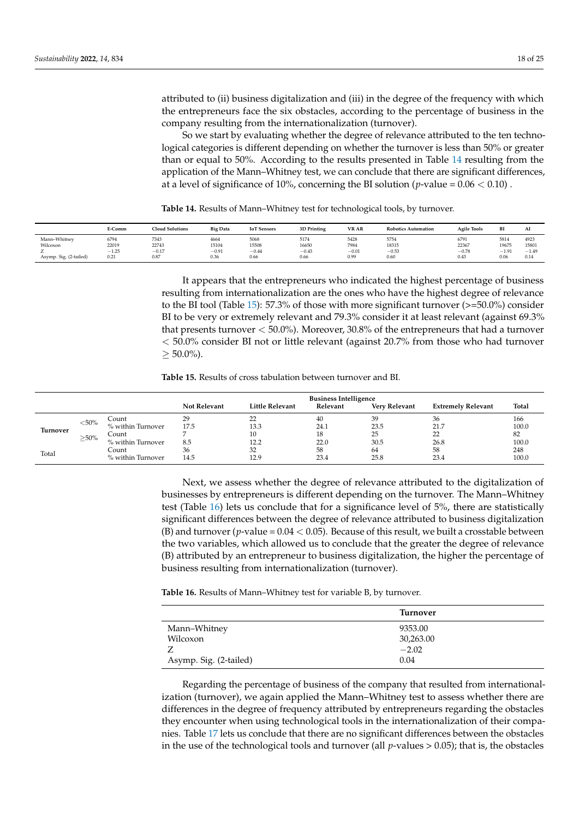attributed to (ii) business digitalization and (iii) in the degree of the frequency with which the entrepreneurs face the six obstacles, according to the percentage of business in the company resulting from the internationalization (turnover).

So we start by evaluating whether the degree of relevance attributed to the ten technological categories is different depending on whether the turnover is less than 50% or greater than or equal to 50%. According to the results presented in Table [14](#page-17-0) resulting from the application of the Mann–Whitney test, we can conclude that there are significant differences, at a level of significance of 10%, concerning the BI solution ( $p$ -value =  $0.06 < 0.10$ ).

<span id="page-17-0"></span>**Table 14.** Results of Mann–Whitney test for technological tools, by turnover.

|                        | E-Comm  | <b>Cloud Solutions</b> | <b>Big Data</b> | <b>IoT</b> Sensors | 3D Printing | VR AR<br>---------- | <b>Robotics Automation</b> | <b>Agile Tools</b> | BI      | AI      |
|------------------------|---------|------------------------|-----------------|--------------------|-------------|---------------------|----------------------------|--------------------|---------|---------|
| Mann-Whitney           | 6794    | 7343                   | 4664            | 5068               | 5174        | 5428                | 5754                       | 6791               | 5814    | 4923    |
| Wilcoxon               | 22019   | 22743                  | 15104           | 15508              | 16650       | 7984                | 18315                      | 22367              | 19675   | 15801   |
|                        | $-1.25$ | $-0.17$                | $-0.91$         | $-0.44$            | $-0.43$     | $-0.01$             | $-0.53$                    | $-0.78$            | $-1.91$ | $-1.49$ |
| Asymp. Sig. (2-tailed) | 0.21    | 0.87                   | 0.36            | 0.66               | 0.66        | 0.99                | 0.60                       | 0.43               | 0.06    | 0.14    |

It appears that the entrepreneurs who indicated the highest percentage of business resulting from internationalization are the ones who have the highest degree of relevance to the BI tool (Table [15\)](#page-17-1): 57.3% of those with more significant turnover  $(>=50.0\%)$  consider BI to be very or extremely relevant and 79.3% consider it at least relevant (against 69.3% that presents turnover < 50.0%). Moreover, 30.8% of the entrepreneurs that had a turnover < 50.0% consider BI not or little relevant (against 20.7% from those who had turnover  $\geq 50.0\%$ ).

<span id="page-17-1"></span>**Table 15.** Results of cross tabulation between turnover and BI.

|                 |           |                   |                     |                        | <b>Business Intelligence</b> |                      |                           |       |
|-----------------|-----------|-------------------|---------------------|------------------------|------------------------------|----------------------|---------------------------|-------|
|                 |           |                   | <b>Not Relevant</b> | <b>Little Relevant</b> | Relevant                     | <b>Very Relevant</b> | <b>Extremely Relevant</b> | Total |
|                 | ${<}50\%$ | Count             | 29                  | 22                     | 40                           | 39                   | 36                        | 166   |
|                 |           | % within Turnover | 17.5                | 13.3                   | 24.1                         | 23.5                 | 21.7                      | 100.0 |
| <b>Turnover</b> | $>50\%$   | Count             |                     | 10                     | 18                           | 25                   | 22                        | 82    |
|                 |           | % within Turnover | 8.5                 | 12.2                   | 22.0                         | 30.5                 | 26.8                      | 100.0 |
| Total           |           | Count             | 36                  | 32                     | 58                           | 64                   | 58                        | 248   |
|                 |           | % within Turnover | 14.5                | 12.9                   | 23.4                         | 25.8                 | 23.4                      | 100.0 |

Next, we assess whether the degree of relevance attributed to the digitalization of businesses by entrepreneurs is different depending on the turnover. The Mann–Whitney test (Table [16\)](#page-17-2) lets us conclude that for a significance level of 5%, there are statistically significant differences between the degree of relevance attributed to business digitalization (B) and turnover  $(p$ -value =  $0.04 < 0.05$ ). Because of this result, we built a crosstable between the two variables, which allowed us to conclude that the greater the degree of relevance (B) attributed by an entrepreneur to business digitalization, the higher the percentage of business resulting from internationalization (turnover).

<span id="page-17-2"></span>**Table 16.** Results of Mann–Whitney test for variable B, by turnover.

|                        | Turnover  |  |
|------------------------|-----------|--|
| Mann–Whitney           | 9353.00   |  |
| Wilcoxon               | 30,263.00 |  |
|                        | $-2.02$   |  |
| Asymp. Sig. (2-tailed) | 0.04      |  |

Regarding the percentage of business of the company that resulted from internationalization (turnover), we again applied the Mann–Whitney test to assess whether there are differences in the degree of frequency attributed by entrepreneurs regarding the obstacles they encounter when using technological tools in the internationalization of their companies. Table [17](#page-18-0) lets us conclude that there are no significant differences between the obstacles in the use of the technological tools and turnover (all *p*-values > 0.05); that is, the obstacles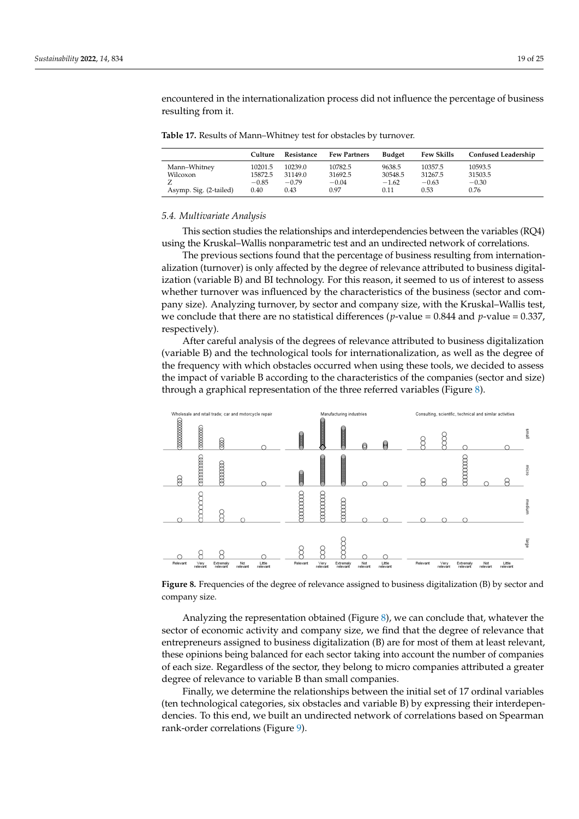encountered in the internationalization process did not influence the percentage of business resulting from it.

<span id="page-18-0"></span>**Table 17.** Results of Mann–Whitney test for obstacles by turnover.

|                        | Culture | Resistance | <b>Few Partners</b> | <b>Budget</b> | <b>Few Skills</b> | <b>Confused Leadership</b> |
|------------------------|---------|------------|---------------------|---------------|-------------------|----------------------------|
| Mann-Whitney           | 10201.5 | 10239.0    | 10782.5             | 9638.5        | 10357.5           | 10593.5                    |
| Wilcoxon               | 15872.5 | 31149.0    | 31692.5             | 30548.5       | 31267.5           | 31503.5                    |
|                        | $-0.85$ | $-0.79$    | $-0.04$             | $-1.62$       | $-0.63$           | $-0.30$                    |
| Asymp. Sig. (2-tailed) | 0.40    | 0.43       | 0.97                | 0.11          | 0.53              | 0.76                       |

# *5.4. Multivariate Analysis*

This section studies the relationships and interdependencies between the variables (RQ4) using the Kruskal–Wallis nonparametric test and an undirected network of correlations.

The previous sections found that the percentage of business resulting from internationalization (turnover) is only affected by the degree of relevance attributed to business digitalization (variable B) and BI technology. For this reason, it seemed to us of interest to assess whether turnover was influenced by the characteristics of the business (sector and company size). Analyzing turnover, by sector and company size, with the Kruskal–Wallis test, we conclude that there are no statistical differences ( $p$ -value = 0.844 and  $p$ -value = 0.337, respectively).

After careful analysis of the degrees of relevance attributed to business digitalization (variable B) and the technological tools for internationalization, as well as the degree of the frequency with which obstacles occurred when using these tools, we decided to assess the impact of variable B according to the characteristics of the companies (sector and size) through a graphical representation of the three referred variables (Figure [8\)](#page-18-1).

<span id="page-18-1"></span>

**Figure 8.** Frequencies of the degree of relevance assigned to business digitalization (B) by sector and company size.

Analyzing the representation obtained (Figure [8\)](#page-18-1), we can conclude that, whatever the sector of economic activity and company size, we find that the degree of relevance that entrepreneurs assigned to business digitalization (B) are for most of them at least relevant, these opinions being balanced for each sector taking into account the number of companies of each size. Regardless of the sector, they belong to micro companies attributed a greater degree of relevance to variable B than small companies.

Finally, we determine the relationships between the initial set of 17 ordinal variables (ten technological categories, six obstacles and variable B) by expressing their interdependencies. To this end, we built an undirected network of correlations based on Spearman rank-order correlations (Figure [9\)](#page-19-1).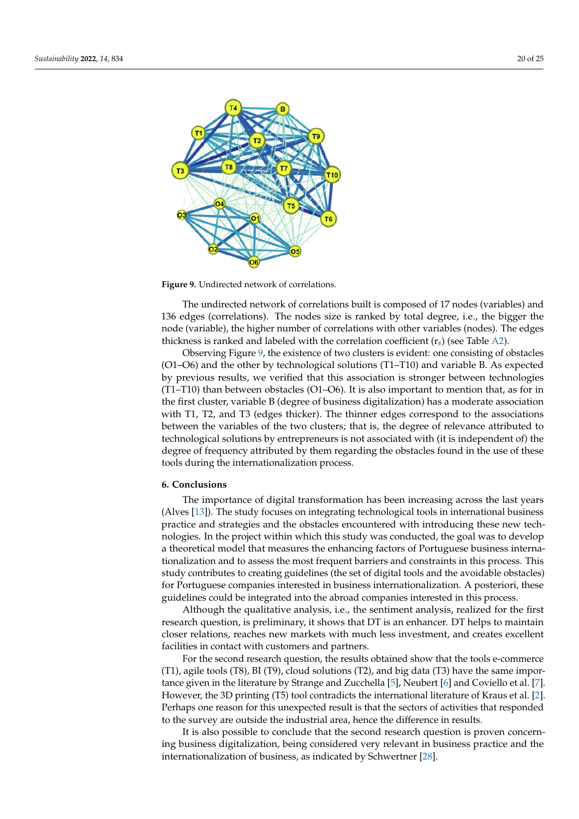<span id="page-19-1"></span>

**Figure 9.** Undirected network of correlations.

The undirected network of correlations built is composed of 17 nodes (variables) and 136 edges (correlations). The nodes size is ranked by total degree, i.e., the bigger the node (variable), the higher number of correlations with other variables (nodes). The edges thickness is ranked and labeled with the correlation coefficient  $(r_s)$  (see Table [A2\)](#page-22-24).

Observing Figure [9,](#page-19-1) the existence of two clusters is evident: one consisting of obstacles (O1–O6) and the other by technological solutions (T1–T10) and variable B. As expected by previous results, we verified that this association is stronger between technologies (T1–T10) than between obstacles (O1–O6). It is also important to mention that, as for in the first cluster, variable B (degree of business digitalization) has a moderate association with T1, T2, and T3 (edges thicker). The thinner edges correspond to the associations between the variables of the two clusters; that is, the degree of relevance attributed to technological solutions by entrepreneurs is not associated with (it is independent of) the degree of frequency attributed by them regarding the obstacles found in the use of these tools during the internationalization process.

## <span id="page-19-0"></span>**6. Conclusions**

The importance of digital transformation has been increasing across the last years (Alves [\[13\]](#page-22-12)). The study focuses on integrating technological tools in international business practice and strategies and the obstacles encountered with introducing these new technologies. In the project within which this study was conducted, the goal was to develop a theoretical model that measures the enhancing factors of Portuguese business internationalization and to assess the most frequent barriers and constraints in this process. This study contributes to creating guidelines (the set of digital tools and the avoidable obstacles) for Portuguese companies interested in business internationalization. A posteriori, these guidelines could be integrated into the abroad companies interested in this process.

Although the qualitative analysis, i.e., the sentiment analysis, realized for the first research question, is preliminary, it shows that DT is an enhancer. DT helps to maintain closer relations, reaches new markets with much less investment, and creates excellent facilities in contact with customers and partners.

For the second research question, the results obtained show that the tools e-commerce (T1), agile tools (T8), BI (T9), cloud solutions (T2), and big data (T3) have the same importance given in the literature by Strange and Zucchella [\[5\]](#page-22-4), Neubert [\[6\]](#page-22-5) and Coviello et al. [\[7\]](#page-22-6). However, the 3D printing (T5) tool contradicts the international literature of Kraus et al. [\[2\]](#page-22-1). Perhaps one reason for this unexpected result is that the sectors of activities that responded to the survey are outside the industrial area, hence the difference in results.

It is also possible to conclude that the second research question is proven concerning business digitalization, being considered very relevant in business practice and the internationalization of business, as indicated by Schwertner [\[28\]](#page-23-3).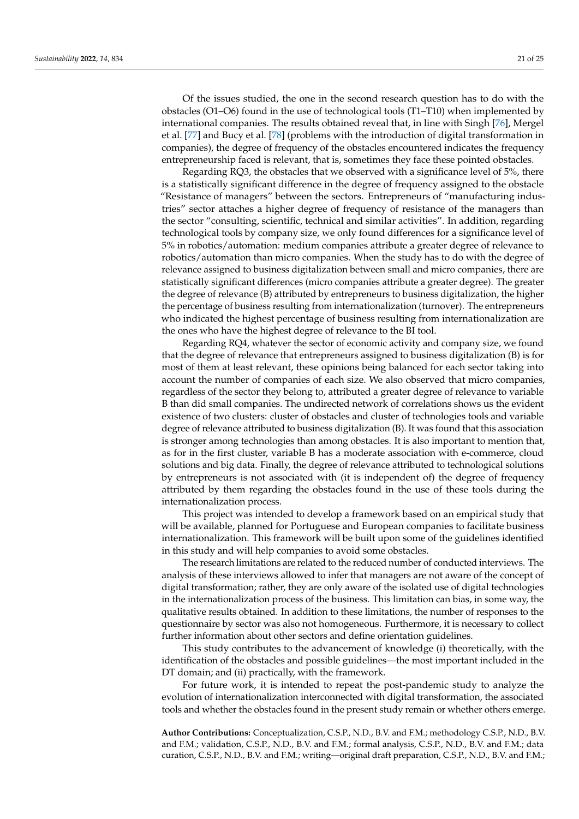Of the issues studied, the one in the second research question has to do with the obstacles (O1–O6) found in the use of technological tools (T1–T10) when implemented by international companies. The results obtained reveal that, in line with Singh [\[76\]](#page-24-19), Mergel et al. [\[77\]](#page-24-20) and Bucy et al. [\[78\]](#page-24-21) (problems with the introduction of digital transformation in companies), the degree of frequency of the obstacles encountered indicates the frequency entrepreneurship faced is relevant, that is, sometimes they face these pointed obstacles.

Regarding RQ3, the obstacles that we observed with a significance level of 5%, there is a statistically significant difference in the degree of frequency assigned to the obstacle "Resistance of managers" between the sectors. Entrepreneurs of "manufacturing industries" sector attaches a higher degree of frequency of resistance of the managers than the sector "consulting, scientific, technical and similar activities". In addition, regarding technological tools by company size, we only found differences for a significance level of 5% in robotics/automation: medium companies attribute a greater degree of relevance to robotics/automation than micro companies. When the study has to do with the degree of relevance assigned to business digitalization between small and micro companies, there are statistically significant differences (micro companies attribute a greater degree). The greater the degree of relevance (B) attributed by entrepreneurs to business digitalization, the higher the percentage of business resulting from internationalization (turnover). The entrepreneurs who indicated the highest percentage of business resulting from internationalization are the ones who have the highest degree of relevance to the BI tool.

Regarding RQ4, whatever the sector of economic activity and company size, we found that the degree of relevance that entrepreneurs assigned to business digitalization (B) is for most of them at least relevant, these opinions being balanced for each sector taking into account the number of companies of each size. We also observed that micro companies, regardless of the sector they belong to, attributed a greater degree of relevance to variable B than did small companies. The undirected network of correlations shows us the evident existence of two clusters: cluster of obstacles and cluster of technologies tools and variable degree of relevance attributed to business digitalization (B). It was found that this association is stronger among technologies than among obstacles. It is also important to mention that, as for in the first cluster, variable B has a moderate association with e-commerce, cloud solutions and big data. Finally, the degree of relevance attributed to technological solutions by entrepreneurs is not associated with (it is independent of) the degree of frequency attributed by them regarding the obstacles found in the use of these tools during the internationalization process.

This project was intended to develop a framework based on an empirical study that will be available, planned for Portuguese and European companies to facilitate business internationalization. This framework will be built upon some of the guidelines identified in this study and will help companies to avoid some obstacles.

The research limitations are related to the reduced number of conducted interviews. The analysis of these interviews allowed to infer that managers are not aware of the concept of digital transformation; rather, they are only aware of the isolated use of digital technologies in the internationalization process of the business. This limitation can bias, in some way, the qualitative results obtained. In addition to these limitations, the number of responses to the questionnaire by sector was also not homogeneous. Furthermore, it is necessary to collect further information about other sectors and define orientation guidelines.

This study contributes to the advancement of knowledge (i) theoretically, with the identification of the obstacles and possible guidelines—the most important included in the DT domain; and (ii) practically, with the framework.

For future work, it is intended to repeat the post-pandemic study to analyze the evolution of internationalization interconnected with digital transformation, the associated tools and whether the obstacles found in the present study remain or whether others emerge.

**Author Contributions:** Conceptualization, C.S.P., N.D., B.V. and F.M.; methodology C.S.P., N.D., B.V. and F.M.; validation, C.S.P., N.D., B.V. and F.M.; formal analysis, C.S.P., N.D., B.V. and F.M.; data curation, C.S.P., N.D., B.V. and F.M.; writing—original draft preparation, C.S.P., N.D., B.V. and F.M.;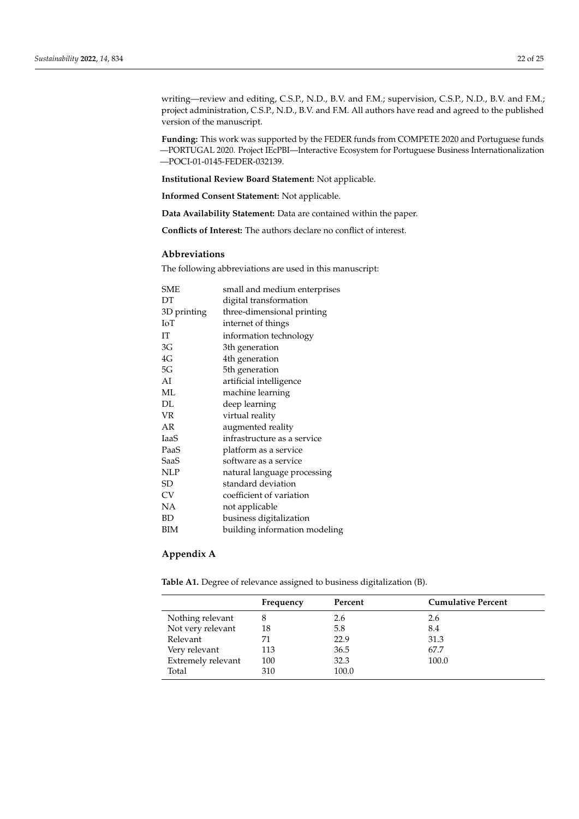writing—review and editing, C.S.P., N.D., B.V. and F.M.; supervision, C.S.P., N.D., B.V. and F.M.; project administration, C.S.P., N.D., B.V. and F.M. All authors have read and agreed to the published version of the manuscript.

**Funding:** This work was supported by the FEDER funds from COMPETE 2020 and Portuguese funds —PORTUGAL 2020. Project IEcPBI—Interactive Ecosystem for Portuguese Business Internationalization —POCI-01-0145-FEDER-032139.

**Institutional Review Board Statement:** Not applicable.

**Informed Consent Statement:** Not applicable.

**Data Availability Statement:** Data are contained within the paper.

**Conflicts of Interest:** The authors declare no conflict of interest.

# **Abbreviations**

The following abbreviations are used in this manuscript:

| SME         | small and medium enterprises  |
|-------------|-------------------------------|
| DT          | digital transformation        |
| 3D printing | three-dimensional printing    |
| IоT         | internet of things            |
| IT          | information technology        |
| 3G          | 3th generation                |
| 4G          | 4th generation                |
| 5G          | 5th generation                |
| AI          | artificial intelligence       |
| ML          | machine learning              |
| DL          | deep learning                 |
| VR          | virtual reality               |
| AR          | augmented reality             |
| IaaS        | infrastructure as a service   |
| PaaS        | platform as a service         |
| SaaS        | software as a service         |
| <b>NLP</b>  | natural language processing   |
| SD          | standard deviation            |
| CV          | coefficient of variation      |
| NA          | not applicable                |
| ВD          | business digitalization       |
| ВIМ         | building information modeling |

# **Appendix A**

<span id="page-21-0"></span>**Table A1.** Degree of relevance assigned to business digitalization (B).

|                    | Frequency | Percent | <b>Cumulative Percent</b> |
|--------------------|-----------|---------|---------------------------|
| Nothing relevant   | 8         | 2.6     | 2.6                       |
| Not very relevant  | 18        | 5.8     | 8.4                       |
| Relevant           | 71        | 22.9    | 31.3                      |
| Very relevant      | 113       | 36.5    | 67.7                      |
| Extremely relevant | 100       | 32.3    | 100.0                     |
| Total              | 310       | 100.0   |                           |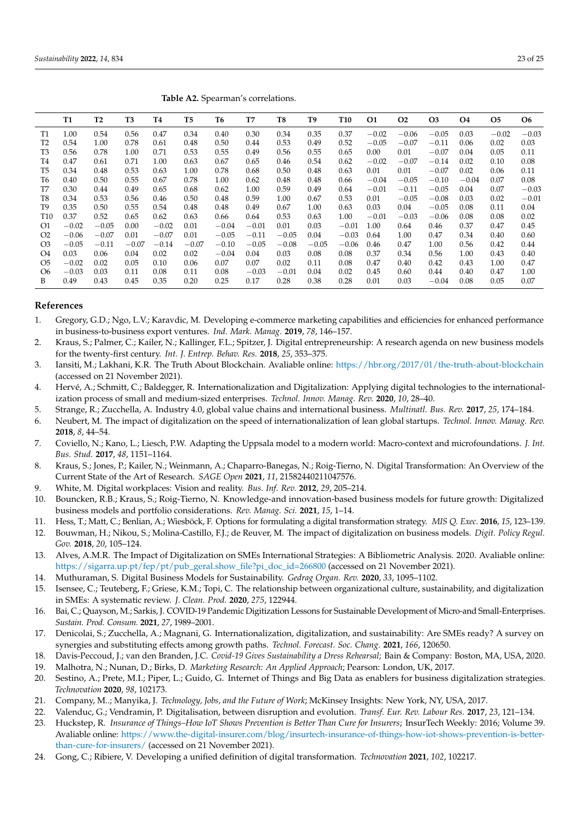<span id="page-22-24"></span>

|                 | Table A2. Spearman's correlations. |           |                |           |                |                |         |         |                |            |           |           |                |                |           |                |
|-----------------|------------------------------------|-----------|----------------|-----------|----------------|----------------|---------|---------|----------------|------------|-----------|-----------|----------------|----------------|-----------|----------------|
|                 | <b>T1</b>                          | <b>T2</b> | T <sub>3</sub> | <b>T4</b> | T <sub>5</sub> | T <sub>6</sub> | T7      | T8      | T <sub>9</sub> | <b>T10</b> | <b>O1</b> | <b>O2</b> | O <sub>3</sub> | O <sub>4</sub> | <b>O5</b> | O <sub>6</sub> |
| T1              | 1.00                               | 0.54      | 0.56           | 0.47      | 0.34           | 0.40           | 0.30    | 0.34    | 0.35           | 0.37       | $-0.02$   | $-0.06$   | $-0.05$        | 0.03           | $-0.02$   | $-0.03$        |
| T <sub>2</sub>  | 0.54                               | 1.00      | 0.78           | 0.61      | 0.48           | 0.50           | 0.44    | 0.53    | 0.49           | 0.52       | $-0.05$   | $-0.07$   | $-0.11$        | 0.06           | 0.02      | 0.03           |
| T3              | 0.56                               | 0.78      | 1.00           | 0.71      | 0.53           | 0.55           | 0.49    | 0.56    | 0.55           | 0.65       | 0.00      | 0.01      | $-0.07$        | 0.04           | 0.05      | 0.11           |
| T4              | 0.47                               | 0.61      | 0.71           | 1.00      | 0.63           | 0.67           | 0.65    | 0.46    | 0.54           | 0.62       | $-0.02$   | $-0.07$   | $-0.14$        | 0.02           | 0.10      | 0.08           |
| T5              | 0.34                               | 0.48      | 0.53           | 0.63      | 1.00           | 0.78           | 0.68    | 0.50    | 0.48           | 0.63       | 0.01      | 0.01      | $-0.07$        | 0.02           | 0.06      | 0.11           |
| T <sub>6</sub>  | 0.40                               | 0.50      | 0.55           | 0.67      | 0.78           | 1.00           | 0.62    | 0.48    | 0.48           | 0.66       | $-0.04$   | $-0.05$   | $-0.10$        | $-0.04$        | 0.07      | 0.08           |
| T7              | 0.30                               | 0.44      | 0.49           | 0.65      | 0.68           | 0.62           | 1.00    | 0.59    | 0.49           | 0.64       | $-0.01$   | $-0.11$   | $-0.05$        | 0.04           | 0.07      | $-0.03$        |
| T8              | 0.34                               | 0.53      | 0.56           | 0.46      | 0.50           | 0.48           | 0.59    | 1.00    | 0.67           | 0.53       | 0.01      | $-0.05$   | $-0.08$        | 0.03           | 0.02      | $-0.01$        |
| T9              | 0.35                               | 0.50      | 0.55           | 0.54      | 0.48           | 0.48           | 0.49    | 0.67    | 1.00           | 0.63       | 0.03      | 0.04      | $-0.05$        | 0.08           | 0.11      | 0.04           |
| T <sub>10</sub> | 0.37                               | 0.52      | 0.65           | 0.62      | 0.63           | 0.66           | 0.64    | 0.53    | 0.63           | 1.00       | $-0.01$   | $-0.03$   | $-0.06$        | 0.08           | 0.08      | 0.02           |
| O1              | $-0.02$                            | $-0.05$   | 0.00           | $-0.02$   | 0.01           | $-0.04$        | $-0.01$ | 0.01    | 0.03           | $-0.01$    | 1.00      | 0.64      | 0.46           | 0.37           | 0.47      | 0.45           |
| O <sub>2</sub>  | $-0.06$                            | $-0.07$   | 0.01           | $-0.07$   | 0.01           | $-0.05$        | $-0.11$ | $-0.05$ | 0.04           | $-0.03$    | 0.64      | 1.00      | 0.47           | 0.34           | 0.40      | 0.60           |
| O <sub>3</sub>  | $-0.05$                            | $-0.11$   | $-0.07$        | $-0.14$   | $-0.07$        | $-0.10$        | $-0.05$ | $-0.08$ | $-0.05$        | $-0.06$    | 0.46      | 0.47      | 1.00           | 0.56           | 0.42      | 0.44           |
| O4              | 0.03                               | 0.06      | 0.04           | 0.02      | 0.02           | $-0.04$        | 0.04    | 0.03    | 0.08           | 0.08       | 0.37      | 0.34      | 0.56           | 1.00           | 0.43      | 0.40           |
| O <sub>5</sub>  | $-0.02$                            | 0.02      | 0.05           | 0.10      | 0.06           | 0.07           | 0.07    | 0.02    | 0.11           | 0.08       | 0.47      | 0.40      | 0.42           | 0.43           | 1.00      | 0.47           |
| O <sub>6</sub>  | $-0.03$                            | 0.03      | 0.11           | 0.08      | 0.11           | 0.08           | $-0.03$ | $-0.01$ | 0.04           | 0.02       | 0.45      | 0.60      | 0.44           | 0.40           | 0.47      | 1.00           |
| B               | 0.49                               | 0.43      | 0.45           | 0.35      | 0.20           | 0.25           | 0.17    | 0.28    | 0.38           | 0.28       | 0.01      | 0.03      | $-0.04$        | 0.08           | 0.05      | 0.07           |

## **References**

- <span id="page-22-0"></span>1. Gregory, G.D.; Ngo, L.V.; Karavdic, M. Developing e-commerce marketing capabilities and efficiencies for enhanced performance in business-to-business export ventures. *Ind. Mark. Manag.* **2019**, *78*, 146–157.
- <span id="page-22-1"></span>2. Kraus, S.; Palmer, C.; Kailer, N.; Kallinger, F.L.; Spitzer, J. Digital entrepreneurship: A research agenda on new business models for the twenty-first century. *Int. J. Entrep. Behav. Res.* **2018**, *25*, 353–375.
- <span id="page-22-2"></span>3. Iansiti, M.; Lakhani, K.R. The Truth About Blockchain. Avaliable online: <https://hbr.org/2017/01/the-truth-about-blockchain> (accessed on 21 November 2021).
- <span id="page-22-3"></span>4. Hervé, A.; Schmitt, C.; Baldegger, R. Internationalization and Digitalization: Applying digital technologies to the internationalization process of small and medium-sized enterprises. *Technol. Innov. Manag. Rev.* **2020**, *10*, 28–40.
- <span id="page-22-4"></span>5. Strange, R.; Zucchella, A. Industry 4.0, global value chains and international business. *Multinatl. Bus. Rev.* **2017**, *25*, 174–184.
- <span id="page-22-5"></span>6. Neubert, M. The impact of digitalization on the speed of internationalization of lean global startups. *Technol. Innov. Manag. Rev.* **2018**, *8*, 44–54.
- <span id="page-22-6"></span>7. Coviello, N.; Kano, L.; Liesch, P.W. Adapting the Uppsala model to a modern world: Macro-context and microfoundations. *J. Int. Bus. Stud.* **2017**, *48*, 1151–1164.
- <span id="page-22-7"></span>8. Kraus, S.; Jones, P.; Kailer, N.; Weinmann, A.; Chaparro-Banegas, N.; Roig-Tierno, N. Digital Transformation: An Overview of the Current State of the Art of Research. *SAGE Open* **2021**, *11*, 21582440211047576.
- <span id="page-22-8"></span>9. White, M. Digital workplaces: Vision and reality. *Bus. Inf. Rev.* **2012**, *29*, 205–214.
- <span id="page-22-9"></span>10. Bouncken, R.B.; Kraus, S.; Roig-Tierno, N. Knowledge-and innovation-based business models for future growth: Digitalized business models and portfolio considerations. *Rev. Manag. Sci.* **2021**, *15*, 1–14.
- <span id="page-22-10"></span>11. Hess, T.; Matt, C.; Benlian, A.; Wiesböck, F. Options for formulating a digital transformation strategy. *MIS Q. Exec.* **2016**, *15*, 123–139.
- <span id="page-22-11"></span>12. Bouwman, H.; Nikou, S.; Molina-Castillo, F.J.; de Reuver, M. The impact of digitalization on business models. *Digit. Policy Regul. Gov.* **2018**, *20*, 105–124.
- <span id="page-22-12"></span>13. Alves, A.M.R. The Impact of Digitalization on SMEs International Strategies: A Bibliometric Analysis. 2020. Avaliable online: [https://sigarra.up.pt/fep/pt/pub\\_geral.show\\_file?pi\\_doc\\_id=266800](https://sigarra.up.pt/fep/pt/pub_geral.show_file?pi_doc_id=266800) (accessed on 21 November 2021).
- <span id="page-22-13"></span>14. Muthuraman, S. Digital Business Models for Sustainability. *Gedrag Organ. Rev.* **2020**, *33*, 1095–1102.
- <span id="page-22-14"></span>15. Isensee, C.; Teuteberg, F.; Griese, K.M.; Topi, C. The relationship between organizational culture, sustainability, and digitalization in SMEs: A systematic review. *J. Clean. Prod.* **2020**, *275*, 122944.
- <span id="page-22-15"></span>16. Bai, C.; Quayson, M.; Sarkis, J. COVID-19 Pandemic Digitization Lessons for Sustainable Development of Micro-and Small-Enterprises. *Sustain. Prod. Consum.* **2021**, *27*, 1989–2001.
- <span id="page-22-16"></span>17. Denicolai, S.; Zucchella, A.; Magnani, G. Internationalization, digitalization, and sustainability: Are SMEs ready? A survey on synergies and substituting effects among growth paths. *Technol. Forecast. Soc. Chang.* **2021**, *166*, 120650.
- <span id="page-22-17"></span>18. Davis-Peccoud, J.; van den Branden, J.C. *Covid-19 Gives Sustainability a Dress Rehearsal*; Bain & Company: Boston, MA, USA, 2020.
- <span id="page-22-18"></span>19. Malhotra, N.; Nunan, D.; Birks, D. *Marketing Research: An Applied Approach*; Pearson: London, UK, 2017.
- <span id="page-22-19"></span>20. Sestino, A.; Prete, M.I.; Piper, L.; Guido, G. Internet of Things and Big Data as enablers for business digitalization strategies. *Technovation* **2020**, *98*, 102173.
- <span id="page-22-20"></span>21. Company, M..; Manyika, J. *Technology, Jobs, and the Future of Work*; McKinsey Insights: New York, NY, USA, 2017.
- <span id="page-22-21"></span>22. Valenduc, G.; Vendramin, P. Digitalisation, between disruption and evolution. *Transf. Eur. Rev. Labour Res.* **2017**, *23*, 121–134.
- <span id="page-22-22"></span>23. Huckstep, R. *Insurance of Things–How IoT Shows Prevention is Better Than Cure for Insurers*; InsurTech Weekly: 2016; Volume 39. Avaliable online: [https://www.the-digital-insurer.com/blog/insurtech-insurance-of-things-how-iot-shows-prevention-is-better](https://www.the-digital-insurer.com/blog/insurtech-insurance-of-things-how-iot-shows-prevention-is-better-than-cure-for-insurers/)[than-cure-for-insurers/](https://www.the-digital-insurer.com/blog/insurtech-insurance-of-things-how-iot-shows-prevention-is-better-than-cure-for-insurers/) (accessed on 21 November 2021).
- <span id="page-22-23"></span>24. Gong, C.; Ribiere, V. Developing a unified definition of digital transformation. *Technovation* **2021**, *102*, 102217.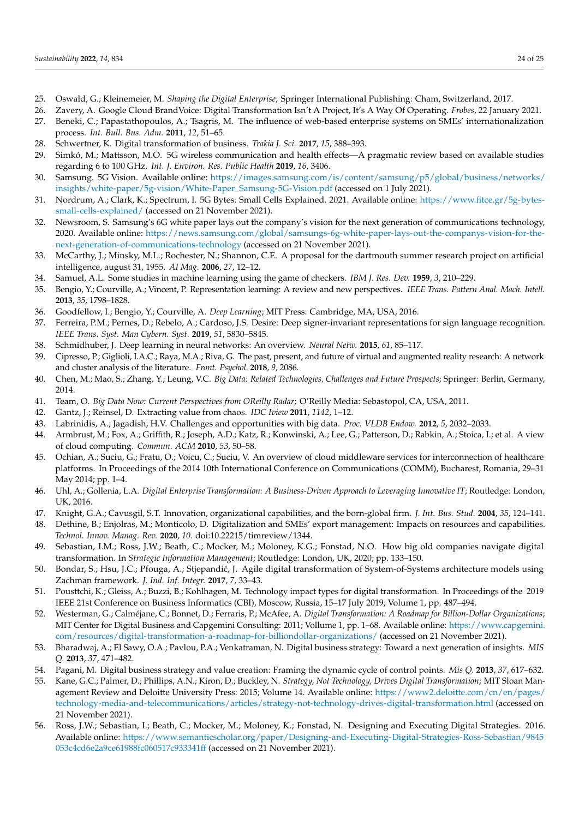- <span id="page-23-0"></span>25. Oswald, G.; Kleinemeier, M. *Shaping the Digital Enterprise*; Springer International Publishing: Cham, Switzerland, 2017.
- <span id="page-23-1"></span>26. Zavery, A. Google Cloud BrandVoice: Digital Transformation Isn't A Project, It's A Way Of Operating. *Frobes*, 22 January 2021.
- <span id="page-23-2"></span>27. Beneki, C.; Papastathopoulos, A.; Tsagris, M. The influence of web-based enterprise systems on SMEs' internationalization process. *Int. Bull. Bus. Adm.* **2011**, *12*, 51–65.
- <span id="page-23-3"></span>28. Schwertner, K. Digital transformation of business. *Trakia J. Sci.* **2017**, *15*, 388–393.
- <span id="page-23-4"></span>29. Simkó, M.; Mattsson, M.O. 5G wireless communication and health effects—A pragmatic review based on available studies regarding 6 to 100 GHz. *Int. J. Environ. Res. Public Health* **2019**, *16*, 3406.
- <span id="page-23-5"></span>30. Samsung. 5G Vision. Available online: [https://images.samsung.com/is/content/samsung/p5/global/business/networks/](https://images.samsung.com/is/content/samsung/p5/global/business/networks/insights/white-paper/5g-vision/White-Paper_Samsung-5G-Vision.pdf) [insights/white-paper/5g-vision/White-Paper\\_Samsung-5G-Vision.pdf](https://images.samsung.com/is/content/samsung/p5/global/business/networks/insights/white-paper/5g-vision/White-Paper_Samsung-5G-Vision.pdf) (accessed on 1 July 2021).
- <span id="page-23-6"></span>31. Nordrum, A.; Clark, K.; Spectrum, I. 5G Bytes: Small Cells Explained. 2021. Available online: [https://www.fitce.gr/5g-bytes](https://www.fitce.gr/5g-bytes-small-cells-explained/)[small-cells-explained/](https://www.fitce.gr/5g-bytes-small-cells-explained/) (accessed on 21 November 2021).
- <span id="page-23-7"></span>32. Newsroom, S. Samsung's 6G white paper lays out the company's vision for the next generation of communications technology, 2020. Available online: [https://news.samsung.com/global/samsungs-6g-white-paper-lays-out-the-companys-vision-for-the](https://news.samsung.com/global/samsungs-6g-white-paper-lays-out-the-companys-vision-for-the-next-generation-of-communications-technology)[next-generation-of-communications-technology](https://news.samsung.com/global/samsungs-6g-white-paper-lays-out-the-companys-vision-for-the-next-generation-of-communications-technology) (accessed on 21 November 2021).
- <span id="page-23-8"></span>33. McCarthy, J.; Minsky, M.L.; Rochester, N.; Shannon, C.E. A proposal for the dartmouth summer research project on artificial intelligence, august 31, 1955. *AI Mag.* **2006**, *27*, 12–12.
- <span id="page-23-9"></span>34. Samuel, A.L. Some studies in machine learning using the game of checkers. *IBM J. Res. Dev.* **1959**, *3*, 210–229.
- <span id="page-23-10"></span>35. Bengio, Y.; Courville, A.; Vincent, P. Representation learning: A review and new perspectives. *IEEE Trans. Pattern Anal. Mach. Intell.* **2013**, *35*, 1798–1828.
- <span id="page-23-11"></span>36. Goodfellow, I.; Bengio, Y.; Courville, A. *Deep Learning*; MIT Press: Cambridge, MA, USA, 2016.
- <span id="page-23-12"></span>37. Ferreira, P.M.; Pernes, D.; Rebelo, A.; Cardoso, J.S. Desire: Deep signer-invariant representations for sign language recognition. *IEEE Trans. Syst. Man Cybern. Syst.* **2019**, *51*, 5830–5845.
- <span id="page-23-13"></span>38. Schmidhuber, J. Deep learning in neural networks: An overview. *Neural Netw.* **2015**, *61*, 85–117.
- <span id="page-23-14"></span>39. Cipresso, P.; Giglioli, I.A.C.; Raya, M.A.; Riva, G. The past, present, and future of virtual and augmented reality research: A network and cluster analysis of the literature. *Front. Psychol.* **2018**, *9*, 2086.
- <span id="page-23-15"></span>40. Chen, M.; Mao, S.; Zhang, Y.; Leung, V.C. *Big Data: Related Technologies, Challenges and Future Prospects*; Springer: Berlin, Germany, 2014.
- <span id="page-23-16"></span>41. Team, O. *Big Data Now: Current Perspectives from OReilly Radar*; O'Reilly Media: Sebastopol, CA, USA, 2011.
- <span id="page-23-17"></span>42. Gantz, J.; Reinsel, D. Extracting value from chaos. *IDC Iview* **2011**, *1142*, 1–12.
- <span id="page-23-18"></span>43. Labrinidis, A.; Jagadish, H.V. Challenges and opportunities with big data. *Proc. VLDB Endow.* **2012**, *5*, 2032–2033.
- <span id="page-23-19"></span>44. Armbrust, M.; Fox, A.; Griffith, R.; Joseph, A.D.; Katz, R.; Konwinski, A.; Lee, G.; Patterson, D.; Rabkin, A.; Stoica, I.; et al. A view of cloud computing. *Commun. ACM* **2010**, *53*, 50–58.
- <span id="page-23-20"></span>45. Ochian, A.; Suciu, G.; Fratu, O.; Voicu, C.; Suciu, V. An overview of cloud middleware services for interconnection of healthcare platforms. In Proceedings of the 2014 10th International Conference on Communications (COMM), Bucharest, Romania, 29–31 May 2014; pp. 1–4.
- <span id="page-23-21"></span>46. Uhl, A.; Gollenia, L.A. *Digital Enterprise Transformation: A Business-Driven Approach to Leveraging Innovative IT*; Routledge: London, UK, 2016.
- <span id="page-23-22"></span>47. Knight, G.A.; Cavusgil, S.T. Innovation, organizational capabilities, and the born-global firm. *J. Int. Bus. Stud.* **2004**, *35*, 124–141.
- <span id="page-23-23"></span>48. Dethine, B.; Enjolras, M.; Monticolo, D. Digitalization and SMEs' export management: Impacts on resources and capabilities. *Technol. Innov. Manag. Rev.* **2020**, *10*. doi:10.22215/timreview/1344.
- <span id="page-23-24"></span>49. Sebastian, I.M.; Ross, J.W.; Beath, C.; Mocker, M.; Moloney, K.G.; Fonstad, N.O. How big old companies navigate digital transformation. In *Strategic Information Management*; Routledge: London, UK, 2020; pp. 133–150.
- <span id="page-23-25"></span>50. Bondar, S.; Hsu, J.C.; Pfouga, A.; Stjepandić, J. Agile digital transformation of System-of-Systems architecture models using Zachman framework. *J. Ind. Inf. Integr.* **2017**, *7*, 33–43.
- <span id="page-23-26"></span>51. Pousttchi, K.; Gleiss, A.; Buzzi, B.; Kohlhagen, M. Technology impact types for digital transformation. In Proceedings of the 2019 IEEE 21st Conference on Business Informatics (CBI), Moscow, Russia, 15–17 July 2019; Volume 1, pp. 487–494.
- <span id="page-23-27"></span>52. Westerman, G.; Calméjane, C.; Bonnet, D.; Ferraris, P.; McAfee, A. *Digital Transformation: A Roadmap for Billion-Dollar Organizations*; MIT Center for Digital Business and Capgemini Consulting: 2011; Vollume 1, pp. 1–68. Available online: [https://www.capgemini.](https://www.capgemini.com/resources/digital-transformation-a-roadmap-for-billiondollar-organizations/) [com/resources/digital-transformation-a-roadmap-for-billiondollar-organizations/](https://www.capgemini.com/resources/digital-transformation-a-roadmap-for-billiondollar-organizations/) (accessed on 21 November 2021).
- <span id="page-23-28"></span>53. Bharadwaj, A.; El Sawy, O.A.; Pavlou, P.A.; Venkatraman, N. Digital business strategy: Toward a next generation of insights. *MIS Q.* **2013**, *37*, 471–482.
- <span id="page-23-29"></span>54. Pagani, M. Digital business strategy and value creation: Framing the dynamic cycle of control points. *Mis Q.* **2013**, *37*, 617–632.
- <span id="page-23-30"></span>55. Kane, G.C.; Palmer, D.; Phillips, A.N.; Kiron, D.; Buckley, N. *Strategy, Not Technology, Drives Digital Transformation*; MIT Sloan Management Review and Deloitte University Press: 2015; Volume 14. Available online: [https://www2.deloitte.com/cn/en/pages/](https://www2.deloitte.com/cn/en/pages/technology-media-and-telecommunications/articles/strategy-not-technology-drives-digital-transformation.html) [technology-media-and-telecommunications/articles/strategy-not-technology-drives-digital-transformation.html](https://www2.deloitte.com/cn/en/pages/technology-media-and-telecommunications/articles/strategy-not-technology-drives-digital-transformation.html) (accessed on 21 November 2021).
- <span id="page-23-31"></span>56. Ross, J.W.; Sebastian, I.; Beath, C.; Mocker, M.; Moloney, K.; Fonstad, N. Designing and Executing Digital Strategies. 2016. Available online: [https://www.semanticscholar.org/paper/Designing-and-Executing-Digital-Strategies-Ross-Sebastian/9845](https://www.semanticscholar.org/paper/Designing-and-Executing-Digital-Strategies-Ross-Sebastian/9845053c4cd6e2a9ce61988fc060517c933341ff) [053c4cd6e2a9ce61988fc060517c933341ff](https://www.semanticscholar.org/paper/Designing-and-Executing-Digital-Strategies-Ross-Sebastian/9845053c4cd6e2a9ce61988fc060517c933341ff) (accessed on 21 November 2021).